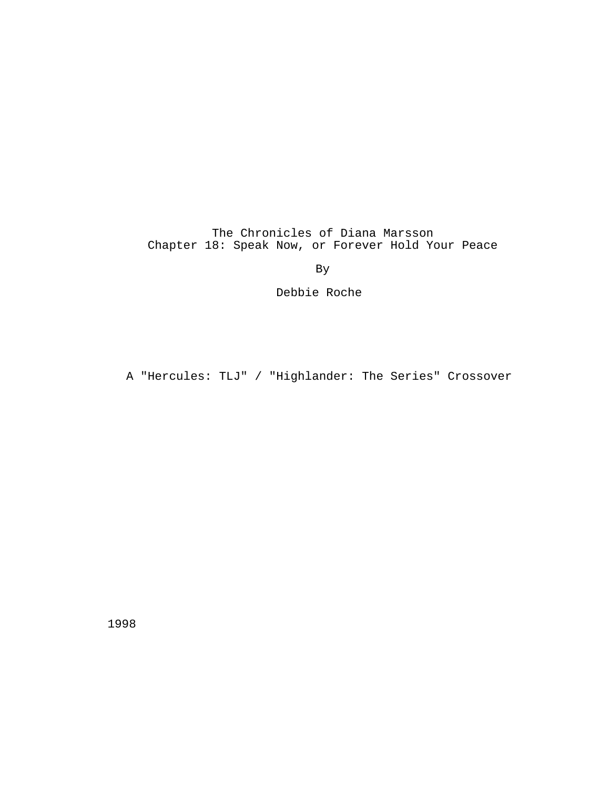The Chronicles of Diana Marsson Chapter 18: Speak Now, or Forever Hold Your Peace

By

Debbie Roche

A "Hercules: TLJ" / "Highlander: The Series" Crossover

1998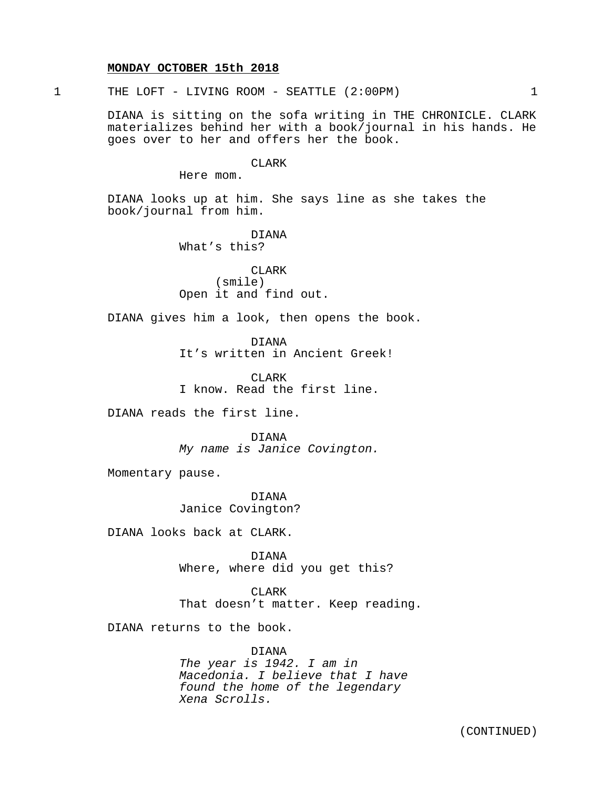#### **MONDAY OCTOBER 15th 2018**

1 THE LOFT - LIVING ROOM - SEATTLE (2:00PM) 1

DIANA is sitting on the sofa writing in THE CHRONICLE. CLARK materializes behind her with a book/journal in his hands. He goes over to her and offers her the book.

CLARK

Here mom.

DIANA looks up at him. She says line as she takes the book/journal from him.

> DIANA What's this?

CLARK (smile) Open it and find out.

DIANA gives him a look, then opens the book.

DIANA

It's written in Ancient Greek!

CLARK I know. Read the first line.

DIANA reads the first line.

DIANA My name is Janice Covington.

Momentary pause.

DIANA Janice Covington?

DIANA looks back at CLARK.

DIANA Where, where did you get this?

CLARK That doesn't matter. Keep reading.

DIANA returns to the book.

DIANA The year is 1942. I am in Macedonia. I believe that I have found the home of the legendary Xena Scrolls.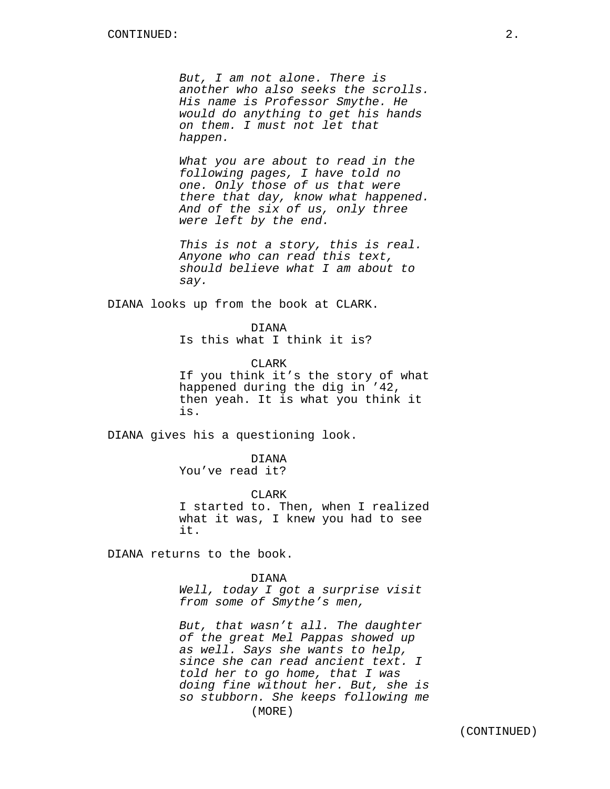But, I am not alone. There is another who also seeks the scrolls. His name is Professor Smythe. He would do anything to get his hands on them. I must not let that happen.

What you are about to read in the following pages, I have told no one. Only those of us that were there that day, know what happened. And of the six of us, only three were left by the end.

This is not a story, this is real. Anyone who can read this text, should believe what I am about to say.

DIANA looks up from the book at CLARK.

DIANA Is this what I think it is?

CLARK If you think it's the story of what happened during the dig in '42, then yeah. It is what you think it is.

DIANA gives his a questioning look.

DIANA You've read it?

CLARK I started to. Then, when I realized what it was, I knew you had to see it.

DIANA returns to the book.

DIANA Well, today I got a surprise visit from some of Smythe's men,

But, that wasn't all. The daughter of the great Mel Pappas showed up as well. Says she wants to help, since she can read ancient text. I told her to go home, that I was doing fine without her. But, she is so stubborn. She keeps following me (MORE)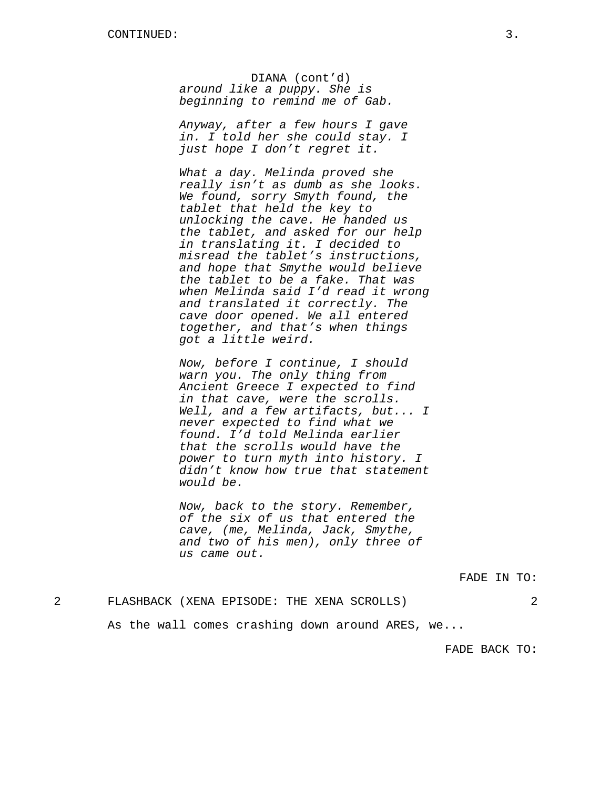DIANA (cont'd) around like a puppy. She is beginning to remind me of Gab.

Anyway, after a few hours I gave in. I told her she could stay. I just hope I don't regret it.

What a day. Melinda proved she really isn't as dumb as she looks. We found, sorry Smyth found, the tablet that held the key to unlocking the cave. He handed us the tablet, and asked for our help in translating it. I decided to misread the tablet's instructions, and hope that Smythe would believe the tablet to be a fake. That was when Melinda said I'd read it wrong and translated it correctly. The cave door opened. We all entered together, and that's when things got a little weird.

Now, before I continue, I should warn you. The only thing from Ancient Greece I expected to find in that cave, were the scrolls. Well, and a few artifacts, but... I never expected to find what we found. I'd told Melinda earlier that the scrolls would have the power to turn myth into history. I didn't know how true that statement would be.

Now, back to the story. Remember, of the six of us that entered the cave, (me, Melinda, Jack, Smythe, and two of his men), only three of us came out.

FADE IN TO:

## 2 FLASHBACK (XENA EPISODE: THE XENA SCROLLS) 2

As the wall comes crashing down around ARES, we...

FADE BACK TO: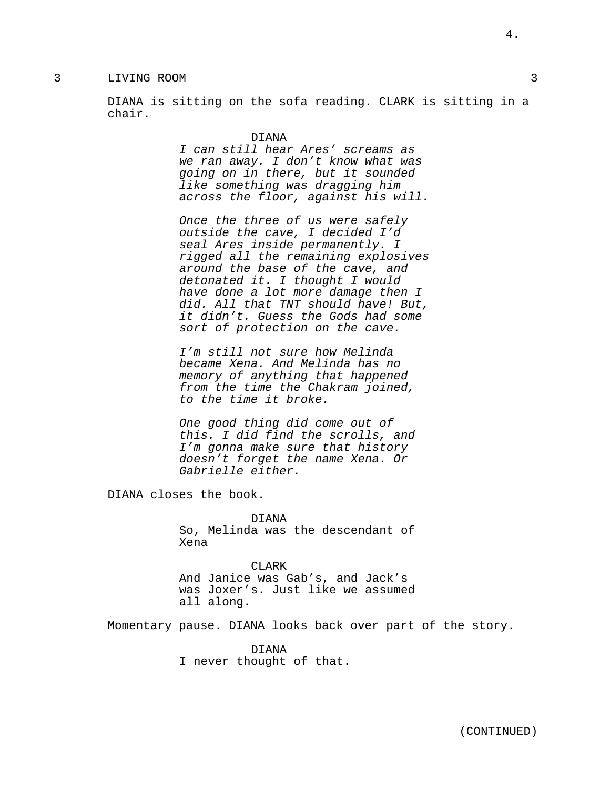3 LIVING ROOM 3

DIANA is sitting on the sofa reading. CLARK is sitting in a chair.

#### DIANA

I can still hear Ares' screams as we ran away. I don't know what was going on in there, but it sounded like something was dragging him across the floor, against his will.

Once the three of us were safely outside the cave, I decided I'd seal Ares inside permanently. I rigged all the remaining explosives around the base of the cave, and detonated it. I thought I would have done a lot more damage then I did. All that TNT should have! But, it didn't. Guess the Gods had some sort of protection on the cave.

I'm still not sure how Melinda became Xena. And Melinda has no memory of anything that happened from the time the Chakram joined, to the time it broke.

One good thing did come out of this. I did find the scrolls, and I'm gonna make sure that history doesn't forget the name Xena. Or Gabrielle either.

DIANA closes the book.

DIANA So, Melinda was the descendant of Xena

**CLARK** And Janice was Gab's, and Jack's was Joxer's. Just like we assumed all along.

Momentary pause. DIANA looks back over part of the story.

DIANA I never thought of that. 4.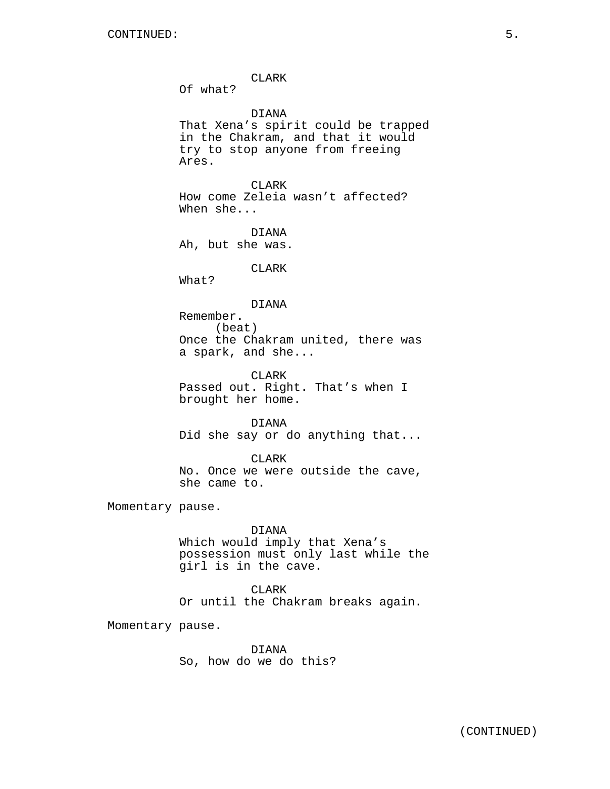CLARK Of what? DIANA That Xena's spirit could be trapped in the Chakram, and that it would try to stop anyone from freeing Ares. CLARK How come Zeleia wasn't affected? When she... DIANA Ah, but she was. CLARK What? DIANA Remember. (beat) Once the Chakram united, there was a spark, and she... CLARK Passed out. Right. That's when I brought her home. DIANA Did she say or do anything that... CLARK No. Once we were outside the cave, she came to. Momentary pause. DIANA Which would imply that Xena's possession must only last while the

> CLARK Or until the Chakram breaks again.

Momentary pause.

DIANA So, how do we do this?

girl is in the cave.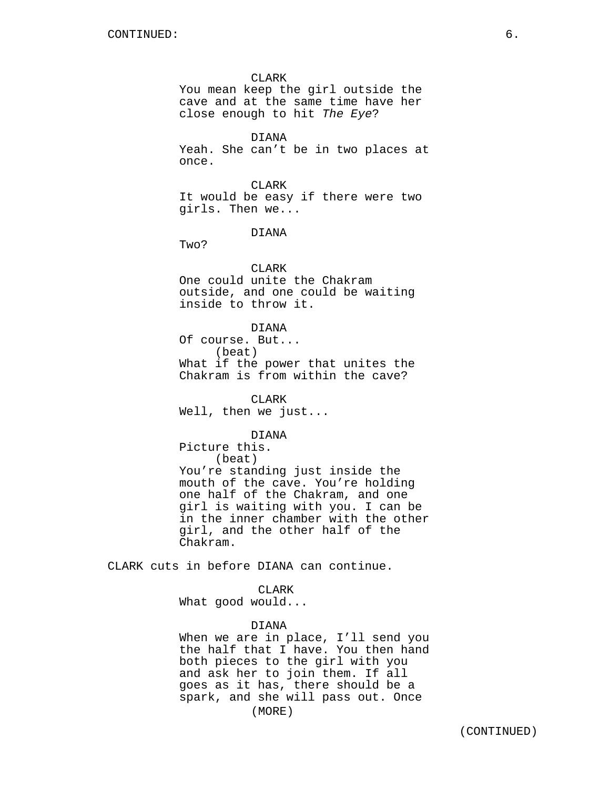CLARK

You mean keep the girl outside the cave and at the same time have her close enough to hit The Eye?

DIANA Yeah. She can't be in two places at once.

CLARK It would be easy if there were two girls. Then we...

DIANA

Two?

#### CLARK

One could unite the Chakram outside, and one could be waiting inside to throw it.

### DIANA

Of course. But... (beat) What if the power that unites the Chakram is from within the cave?

CLARK Well, then we just...

**DIANA** 

Picture this. (beat) You're standing just inside the mouth of the cave. You're holding one half of the Chakram, and one girl is waiting with you. I can be in the inner chamber with the other girl, and the other half of the Chakram.

CLARK cuts in before DIANA can continue.

CLARK

What good would...

#### DIANA

When we are in place, I'll send you the half that I have. You then hand both pieces to the girl with you and ask her to join them. If all goes as it has, there should be a spark, and she will pass out. Once (MORE)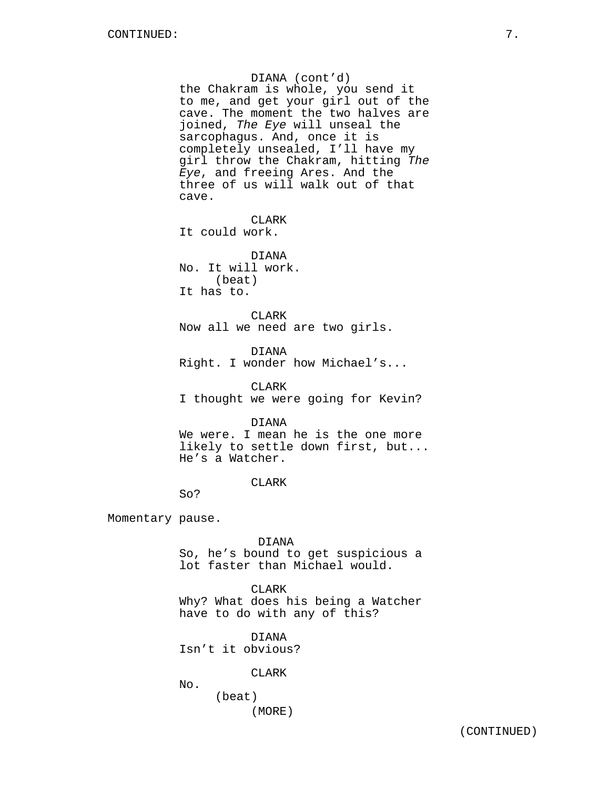DIANA (cont'd) the Chakram is whole, you send it to me, and get your girl out of the cave. The moment the two halves are joined, The Eye will unseal the sarcophagus. And, once it is completely unsealed, I'll have my girl throw the Chakram, hitting The Eye, and freeing Ares. And the three of us will walk out of that cave. CLARK It could work. DIANA No. It will work. (beat) It has to. CLARK Now all we need are two girls. DIANA

Right. I wonder how Michael's...

CLARK I thought we were going for Kevin?

## DIANA

We were. I mean he is the one more likely to settle down first, but... He's a Watcher.

## CLARK

So?

Momentary pause.

DIANA

So, he's bound to get suspicious a lot faster than Michael would.

#### CLARK

Why? What does his being a Watcher have to do with any of this?

DIANA

Isn't it obvious?

CLARK

No.

(beat) (MORE)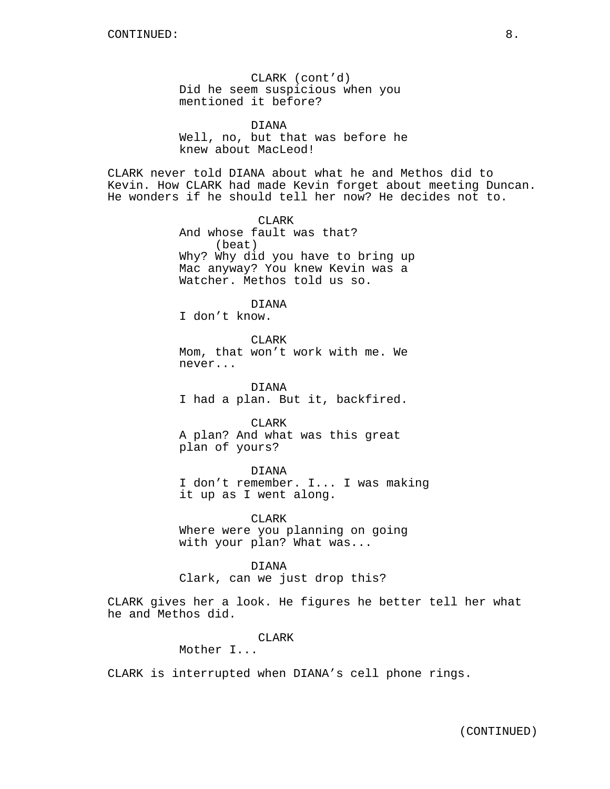CLARK (cont'd) Did he seem suspicious when you mentioned it before?

DIANA Well, no, but that was before he knew about MacLeod!

CLARK never told DIANA about what he and Methos did to Kevin. How CLARK had made Kevin forget about meeting Duncan. He wonders if he should tell her now? He decides not to.

> CLARK And whose fault was that? (beat) Why? Why did you have to bring up Mac anyway? You knew Kevin was a Watcher. Methos told us so.

> > DIANA

I don't know.

**CLARK** Mom, that won't work with me. We never...

DIANA I had a plan. But it, backfired.

CLARK A plan? And what was this great plan of yours?

DIANA

I don't remember. I... I was making it up as I went along.

CLARK Where were you planning on going with your plan? What was...

DIANA Clark, can we just drop this?

CLARK gives her a look. He figures he better tell her what he and Methos did.

CLARK

Mother I...

CLARK is interrupted when DIANA's cell phone rings.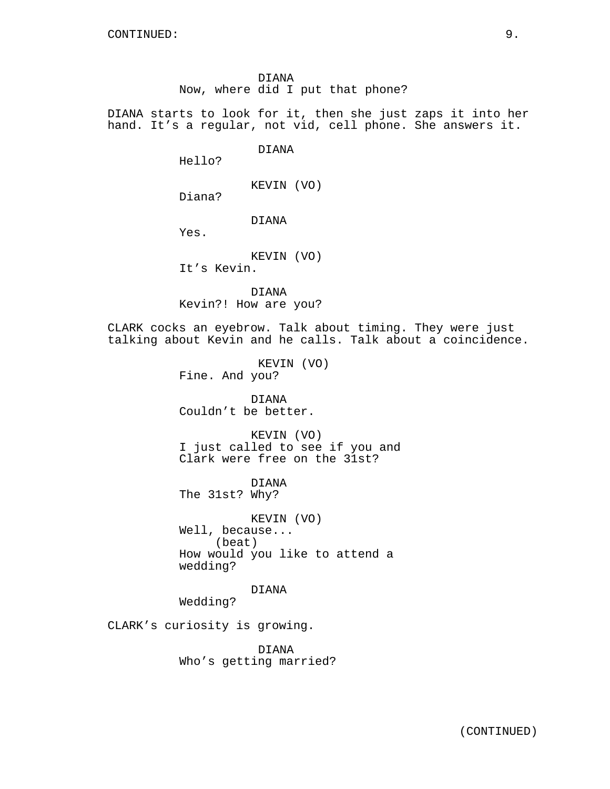DIANA Now, where did I put that phone?

DIANA starts to look for it, then she just zaps it into her hand. It's a regular, not vid, cell phone. She answers it.

DIANA

Hello?

KEVIN (VO)

Diana?

# DIANA

Yes.

KEVIN (VO)

It's Kevin.

DIANA Kevin?! How are you?

CLARK cocks an eyebrow. Talk about timing. They were just talking about Kevin and he calls. Talk about a coincidence.

> KEVIN (VO) Fine. And you?

DIANA Couldn't be better.

KEVIN (VO) I just called to see if you and Clark were free on the 31st?

DIANA The 31st? Why?

KEVIN (VO) Well, because... (beat) How would you like to attend a wedding?

DIANA

Wedding?

CLARK's curiosity is growing.

DIANA Who's getting married?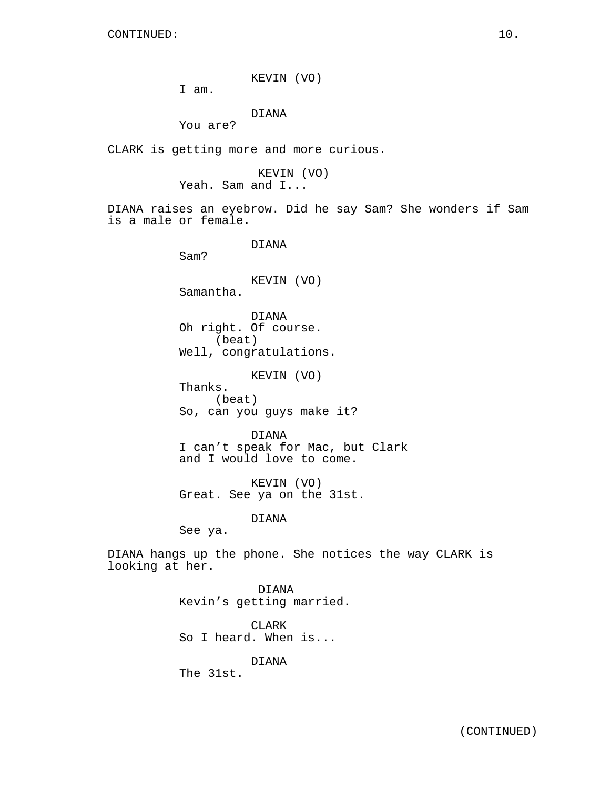KEVIN (VO)

I am.

DIANA

You are?

CLARK is getting more and more curious.

KEVIN (VO) Yeah. Sam and I...

DIANA raises an eyebrow. Did he say Sam? She wonders if Sam is a male or female.

DIANA

Sam?

KEVIN (VO)

Samantha.

DIANA Oh right. Of course. (beat) Well, congratulations.

KEVIN (VO)

Thanks. (beat) So, can you guys make it?

DIANA I can't speak for Mac, but Clark and I would love to come.

KEVIN (VO) Great. See ya on the 31st.

DIANA

See ya.

DIANA hangs up the phone. She notices the way CLARK is looking at her.

> DIANA Kevin's getting married.

CLARK So I heard. When is...

DIANA

The 31st.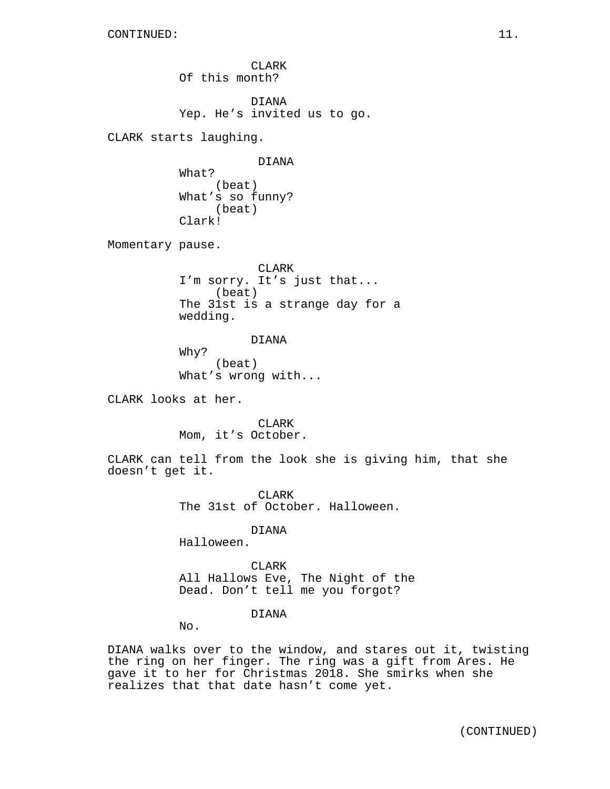CLARK Of this month? DIANA Yep. He's invited us to go. CLARK starts laughing. DIANA What? (beat) What's so funny? (beat) Clark! Momentary pause. CLARK I'm sorry. It's just that... (beat) The 31st is a strange day for a wedding. DIANA Why? (beat) What's wrong with... CLARK looks at her. CLARK Mom, it's October. CLARK can tell from the look she is giving him, that she doesn't get it. CLARK The 31st of October. Halloween. DIANA Halloween. **CLARK** All Hallows Eve, The Night of the Dead. Don't tell me you forgot? DIANA

No.

DIANA walks over to the window, and stares out it, twisting the ring on her finger. The ring was a gift from Ares. He gave it to her for Christmas 2018. She smirks when she realizes that that date hasn't come yet.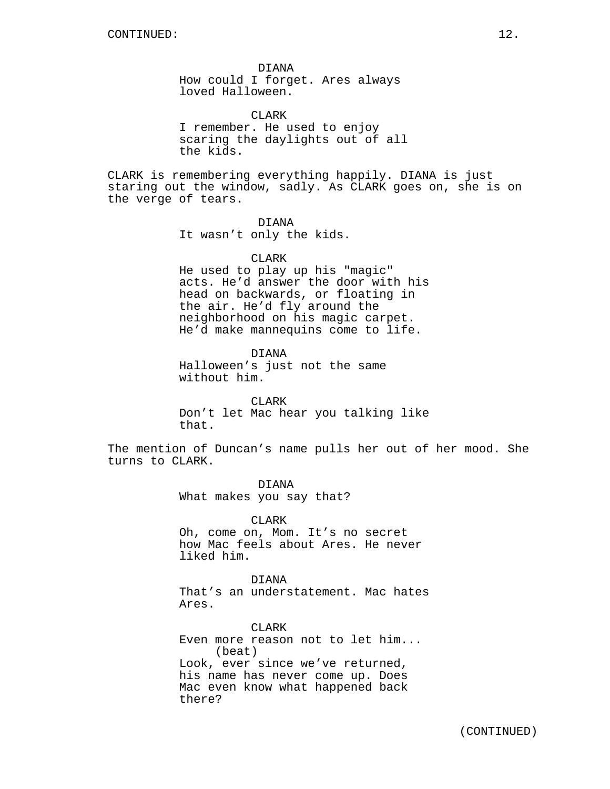DIANA How could I forget. Ares always loved Halloween.

CLARK I remember. He used to enjoy scaring the daylights out of all the kids.

CLARK is remembering everything happily. DIANA is just staring out the window, sadly. As CLARK goes on, she is on the verge of tears.

DIANA

It wasn't only the kids.

CLARK

He used to play up his "magic" acts. He'd answer the door with his head on backwards, or floating in the air. He'd fly around the neighborhood on his magic carpet. He'd make mannequins come to life.

DIANA Halloween's just not the same without him.

CLARK Don't let Mac hear you talking like that.

The mention of Duncan's name pulls her out of her mood. She turns to CLARK.

> DIANA What makes you say that?

CLARK Oh, come on, Mom. It's no secret how Mac feels about Ares. He never liked him.

DIANA That's an understatement. Mac hates Ares.

CLARK Even more reason not to let him... (beat) Look, ever since we've returned, his name has never come up. Does Mac even know what happened back there?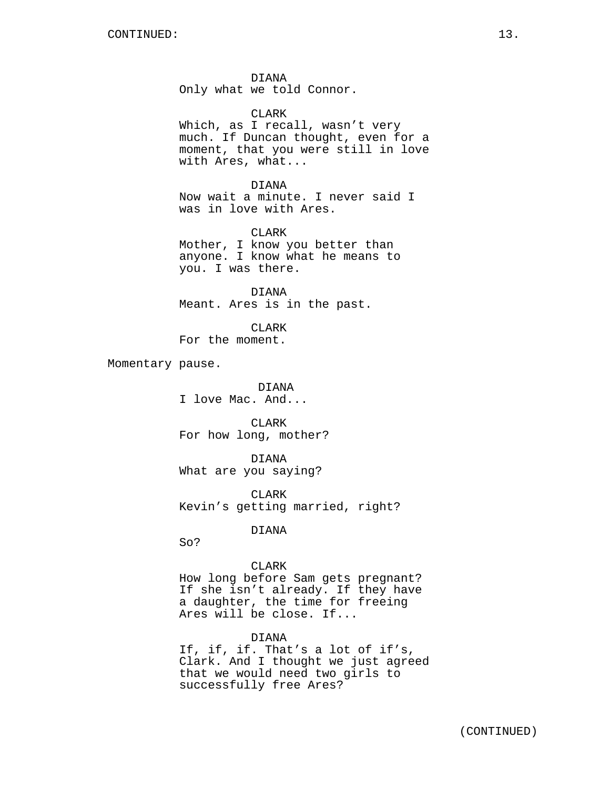DIANA Only what we told Connor.

CLARK

Which, as I recall, wasn't very much. If Duncan thought, even for a moment, that you were still in love with Ares, what...

DIANA Now wait a minute. I never said I was in love with Ares.

CLARK Mother, I know you better than anyone. I know what he means to you. I was there.

DIANA Meant. Ares is in the past.

CLARK For the moment.

Momentary pause.

DIANA I love Mac. And...

CLARK For how long, mother?

DIANA What are you saying?

CLARK Kevin's getting married, right?

DIANA

So?

## CLARK

How long before Sam gets pregnant? If she isn't already. If they have a daughter, the time for freeing Ares will be close. If...

## DIANA

If, if, if. That's a lot of if's, Clark. And I thought we just agreed that we would need two girls to successfully free Ares?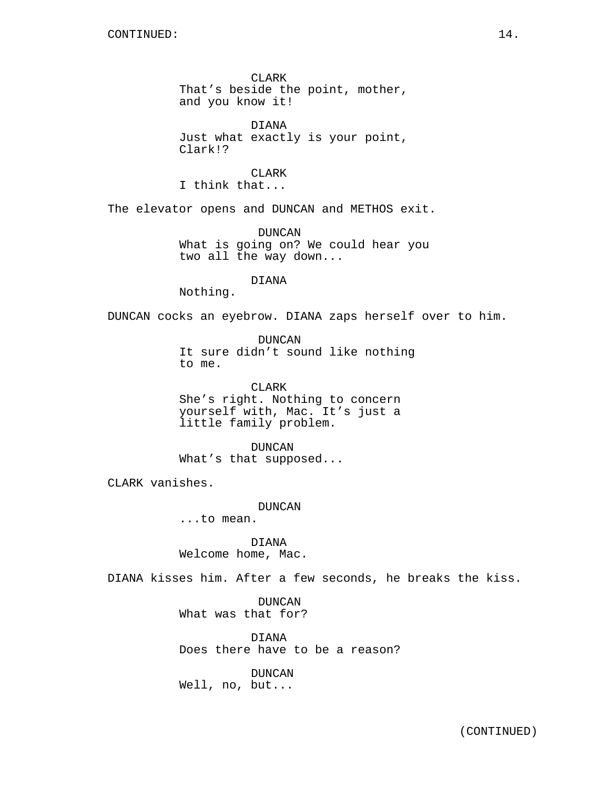CLARK That's beside the point, mother, and you know it!

DIANA Just what exactly is your point, Clark!?

CLARK I think that...

The elevator opens and DUNCAN and METHOS exit.

DUNCAN What is going on? We could hear you two all the way down...

DIANA

Nothing.

DUNCAN cocks an eyebrow. DIANA zaps herself over to him.

DUNCAN It sure didn't sound like nothing to me.

CLARK She's right. Nothing to concern yourself with, Mac. It's just a little family problem.

DUNCAN What's that supposed...

CLARK vanishes.

DUNCAN

...to mean.

DIANA Welcome home, Mac.

DIANA kisses him. After a few seconds, he breaks the kiss.

DUNCAN What was that for?

DIANA Does there have to be a reason?

DUNCAN Well, no, but...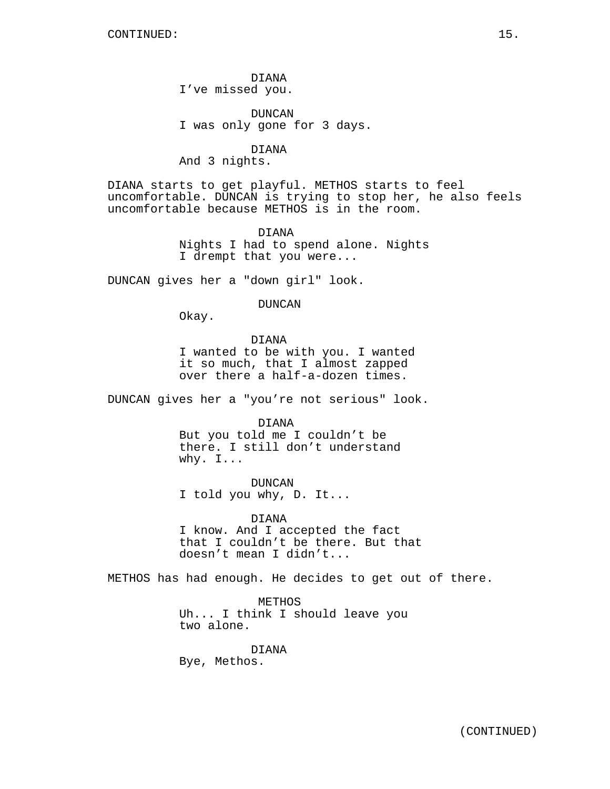DIANA I've missed you.

DUNCAN I was only gone for 3 days.

DIANA

And 3 nights.

DIANA starts to get playful. METHOS starts to feel uncomfortable. DUNCAN is trying to stop her, he also feels uncomfortable because METHOS is in the room.

> DIANA Nights I had to spend alone. Nights I drempt that you were...

DUNCAN gives her a "down girl" look.

#### DUNCAN

Okay.

DIANA I wanted to be with you. I wanted it so much, that I almost zapped over there a half-a-dozen times.

DUNCAN gives her a "you're not serious" look.

DIANA

But you told me I couldn't be there. I still don't understand why. I...

DUNCAN I told you why, D. It...

DIANA I know. And I accepted the fact that I couldn't be there. But that doesn't mean I didn't...

METHOS has had enough. He decides to get out of there.

METHOS Uh... I think I should leave you two alone.

DIANA Bye, Methos.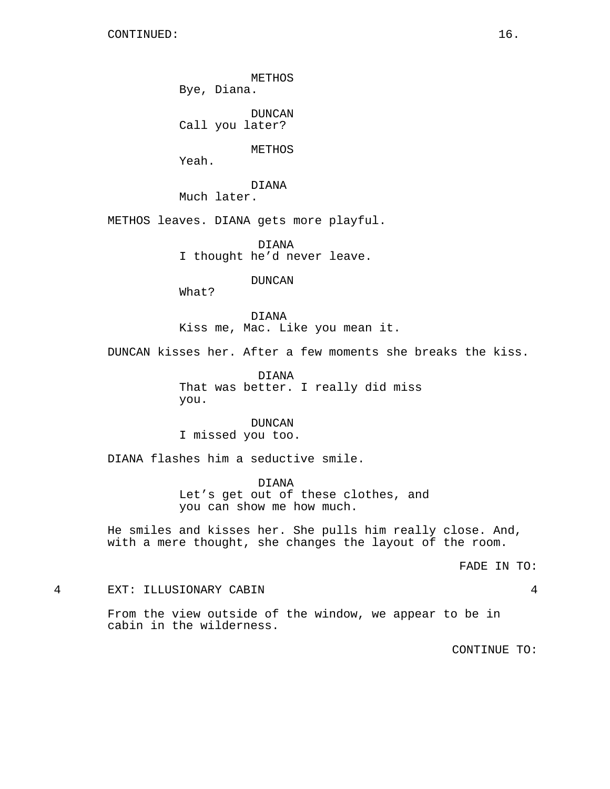METHOS

Bye, Diana.

DUNCAN Call you later?

METHOS

Yeah.

DIANA

Much later.

METHOS leaves. DIANA gets more playful.

DIANA I thought he'd never leave.

DUNCAN

What?

DIANA Kiss me, Mac. Like you mean it.

DUNCAN kisses her. After a few moments she breaks the kiss.

DIANA That was better. I really did miss you.

DUNCAN I missed you too.

DIANA flashes him a seductive smile.

DIANA Let's get out of these clothes, and you can show me how much.

He smiles and kisses her. She pulls him really close. And, with a mere thought, she changes the layout of the room.

FADE IN TO:

4 EXT: ILLUSIONARY CABIN 4

From the view outside of the window, we appear to be in cabin in the wilderness.

CONTINUE TO: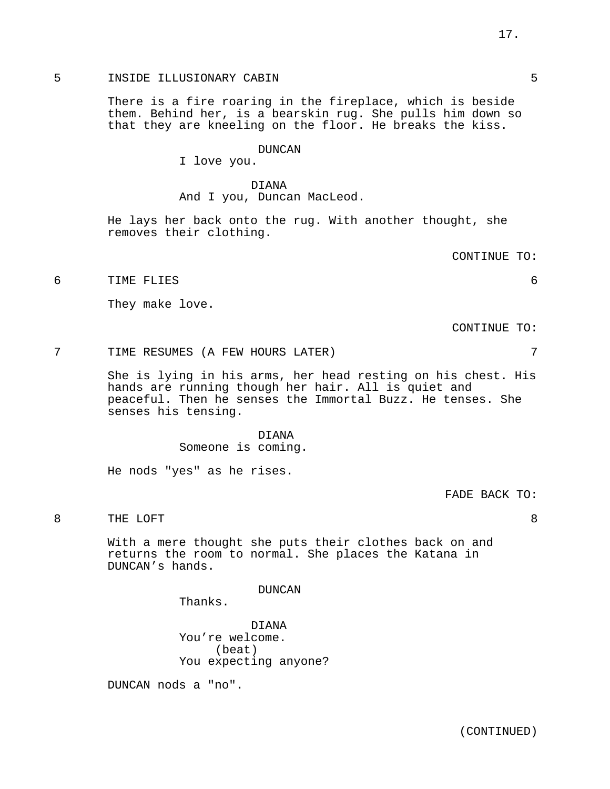There is a fire roaring in the fireplace, which is beside them. Behind her, is a bearskin rug. She pulls him down so that they are kneeling on the floor. He breaks the kiss.

#### DUNCAN

I love you.

## DIANA And I you, Duncan MacLeod.

He lays her back onto the rug. With another thought, she removes their clothing.

CONTINUE TO:

6 TIME FLIES 6

They make love.

CONTINUE TO:

7 TIME RESUMES (A FEW HOURS LATER) 7

She is lying in his arms, her head resting on his chest. His hands are running though her hair. All is quiet and peaceful. Then he senses the Immortal Buzz. He tenses. She senses his tensing.

> DIANA Someone is coming.

He nods "yes" as he rises.

FADE BACK TO:

# 8 THE LOFT 8

With a mere thought she puts their clothes back on and returns the room to normal. She places the Katana in DUNCAN's hands.

DUNCAN

Thanks.

DIANA You're welcome. (beat) You expecting anyone?

DUNCAN nods a "no".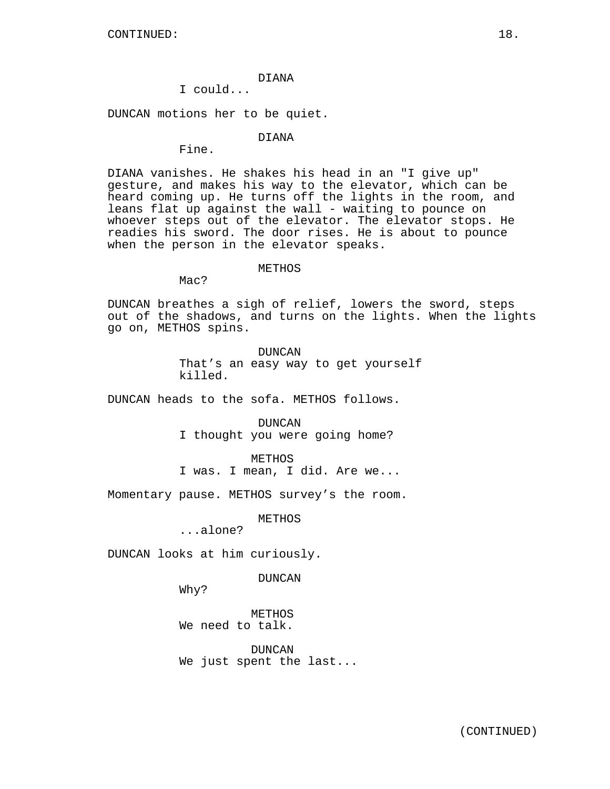## DIANA

# I could...

DUNCAN motions her to be quiet.

## DIANA

Fine.

DIANA vanishes. He shakes his head in an "I give up" gesture, and makes his way to the elevator, which can be heard coming up. He turns off the lights in the room, and leans flat up against the wall - waiting to pounce on whoever steps out of the elevator. The elevator stops. He readies his sword. The door rises. He is about to pounce when the person in the elevator speaks.

#### METHOS

Mac?

DUNCAN breathes a sigh of relief, lowers the sword, steps out of the shadows, and turns on the lights. When the lights go on, METHOS spins.

> DUNCAN That's an easy way to get yourself killed.

DUNCAN heads to the sofa. METHOS follows.

DUNCAN I thought you were going home?

METHOS

I was. I mean, I did. Are we...

Momentary pause. METHOS survey's the room.

METHOS

...alone?

DUNCAN looks at him curiously.

DUNCAN

Why?

METHOS We need to talk.

DUNCAN We just spent the last...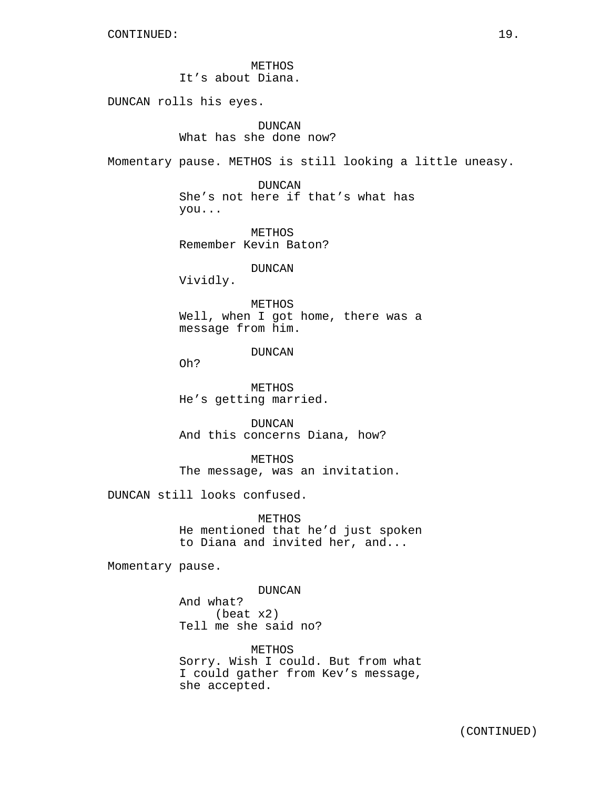METHOS It's about Diana.

DUNCAN rolls his eyes.

DUNCAN What has she done now?

Momentary pause. METHOS is still looking a little uneasy.

DUNCAN She's not here if that's what has you...

METHOS Remember Kevin Baton?

DUNCAN

Vividly.

METHOS Well, when I got home, there was a message from him.

DUNCAN

Oh?

METHOS He's getting married.

DUNCAN And this concerns Diana, how?

METHOS The message, was an invitation.

DUNCAN still looks confused.

**METHOS** He mentioned that he'd just spoken to Diana and invited her, and...

Momentary pause.

DUNCAN And what? (beat x2) Tell me she said no?

METHOS Sorry. Wish I could. But from what I could gather from Kev's message, she accepted.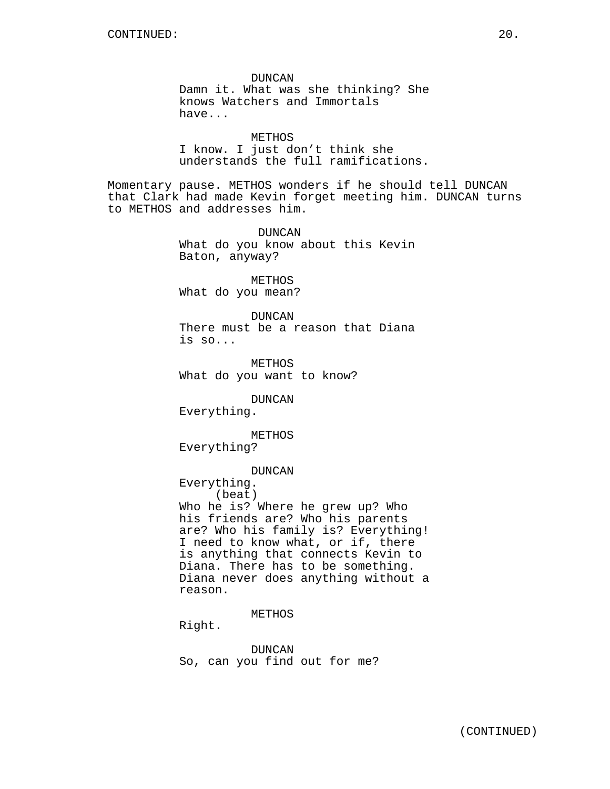DUNCAN Damn it. What was she thinking? She knows Watchers and Immortals have...

METHOS I know. I just don't think she understands the full ramifications.

Momentary pause. METHOS wonders if he should tell DUNCAN that Clark had made Kevin forget meeting him. DUNCAN turns to METHOS and addresses him.

> DUNCAN What do you know about this Kevin Baton, anyway?

METHOS What do you mean?

DUNCAN There must be a reason that Diana is so...

METHOS What do you want to know?

DUNCAN

Everything.

METHOS Everything?

DUNCAN

Everything.

(beat) Who he is? Where he grew up? Who his friends are? Who his parents are? Who his family is? Everything! I need to know what, or if, there is anything that connects Kevin to Diana. There has to be something. Diana never does anything without a reason.

METHOS

Right.

DUNCAN So, can you find out for me?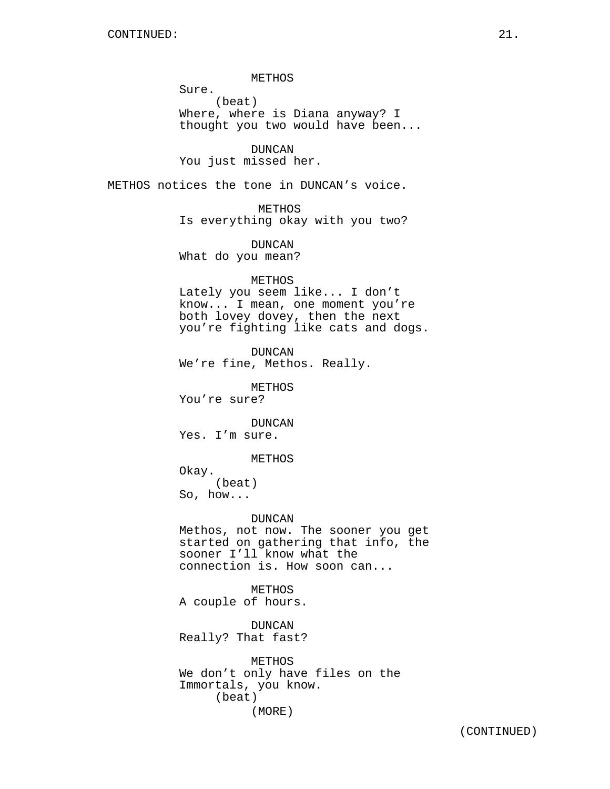METHOS Sure. (beat) Where, where is Diana anyway? I thought you two would have been...

DUNCAN You just missed her.

METHOS notices the tone in DUNCAN's voice.

METHOS Is everything okay with you two?

DUNCAN What do you mean?

METHOS

Lately you seem like... I don't know... I mean, one moment you're both lovey dovey, then the next you're fighting like cats and dogs.

DUNCAN We're fine, Methos. Really.

METHOS

You're sure?

DUNCAN Yes. I'm sure.

METHOS

Okay. (beat) So, how...

DUNCAN

Methos, not now. The sooner you get started on gathering that info, the sooner I'll know what the connection is. How soon can...

METHOS A couple of hours.

DUNCAN Really? That fast?

METHOS We don't only have files on the Immortals, you know. (beat) (MORE)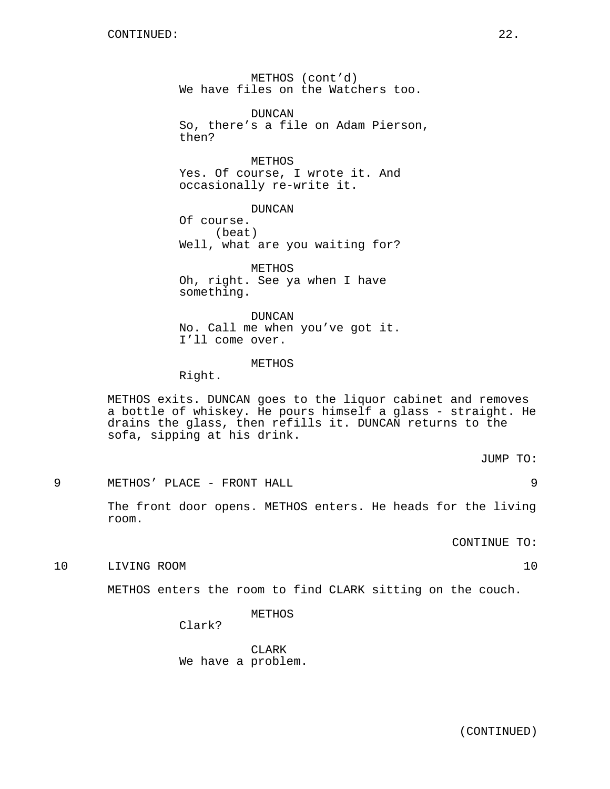METHOS (cont'd) We have files on the Watchers too.

DUNCAN So, there's a file on Adam Pierson, then?

METHOS Yes. Of course, I wrote it. And occasionally re-write it.

DUNCAN Of course. (beat) Well, what are you waiting for?

METHOS Oh, right. See ya when I have something.

DUNCAN No. Call me when you've got it. I'll come over.

# METHOS

Right.

METHOS exits. DUNCAN goes to the liquor cabinet and removes a bottle of whiskey. He pours himself a glass - straight. He drains the glass, then refills it. DUNCAN returns to the sofa, sipping at his drink.

JUMP TO:

9 METHOS' PLACE - FRONT HALL 9

The front door opens. METHOS enters. He heads for the living room.

CONTINUE TO:

10 LIVING ROOM 10

METHOS enters the room to find CLARK sitting on the couch.

METHOS

Clark?

CLARK We have a problem.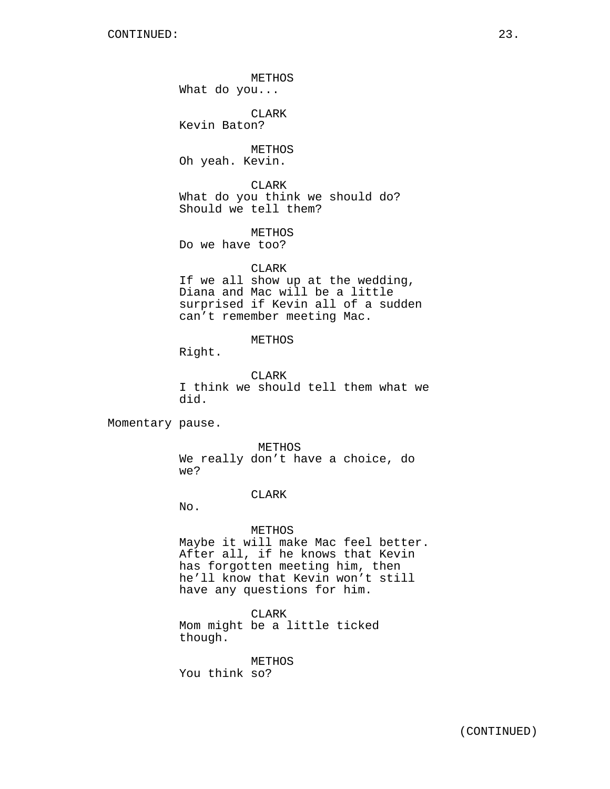METHOS What do you... CLARK Kevin Baton? METHOS Oh yeah. Kevin. CLARK What do you think we should do? Should we tell them? METHOS Do we have too? CLARK If we all show up at the wedding, Diana and Mac will be a little surprised if Kevin all of a sudden can't remember meeting Mac. METHOS Right. CLARK I think we should tell them what we did. Momentary pause. METHOS We really don't have a choice, do we? CLARK No. METHOS Maybe it will make Mac feel better. After all, if he knows that Kevin has forgotten meeting him, then he'll know that Kevin won't still

> CLARK Mom might be a little ticked though.

have any questions for him.

METHOS You think so?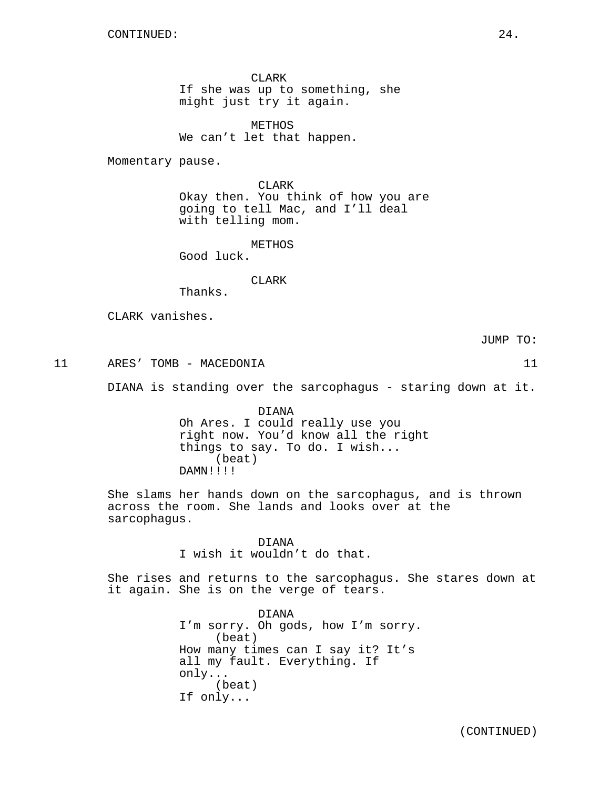CLARK If she was up to something, she might just try it again.

METHOS We can't let that happen.

Momentary pause.

CLARK Okay then. You think of how you are going to tell Mac, and I'll deal with telling mom.

METHOS

Good luck.

CLARK

Thanks.

CLARK vanishes.

JUMP TO:

11 ARES' TOMB - MACEDONIA 11

DIANA is standing over the sarcophagus - staring down at it.

DIANA Oh Ares. I could really use you right now. You'd know all the right things to say. To do. I wish... (beat) DAMN!!!!

She slams her hands down on the sarcophagus, and is thrown across the room. She lands and looks over at the sarcophagus.

> DIANA I wish it wouldn't do that.

She rises and returns to the sarcophagus. She stares down at it again. She is on the verge of tears.

> DIANA I'm sorry. Oh gods, how I'm sorry. (beat) How many times can I say it? It's all my fault. Everything. If only... (beat) If only...

(CONTINUED)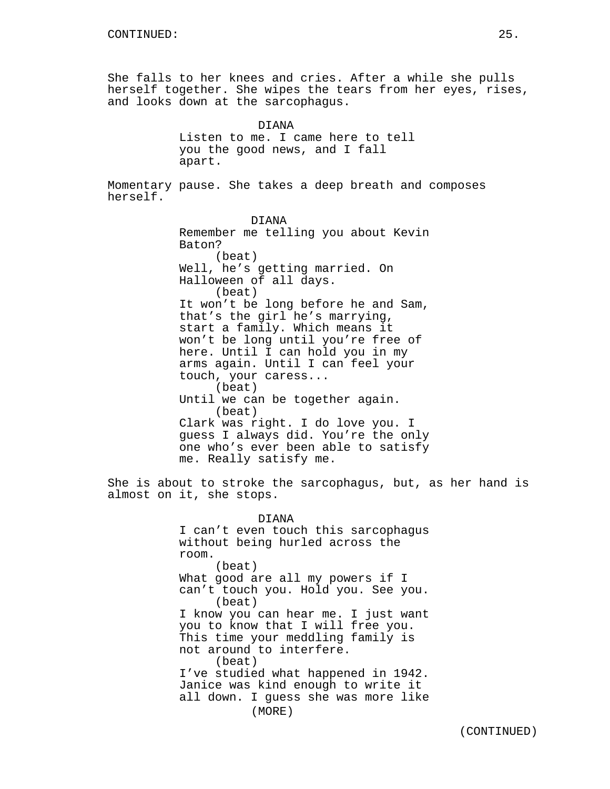She falls to her knees and cries. After a while she pulls herself together. She wipes the tears from her eyes, rises, and looks down at the sarcophagus.

> DIANA Listen to me. I came here to tell you the good news, and I fall apart.

Momentary pause. She takes a deep breath and composes herself.

> DIANA Remember me telling you about Kevin Baton? (beat) Well, he's getting married. On Halloween of all days. (beat) It won't be long before he and Sam, that's the girl he's marrying, start a family. Which means it won't be long until you're free of here. Until I can hold you in my arms again. Until I can feel your touch, your caress... (beat) Until we can be together again. (beat) Clark was right. I do love you. I guess I always did. You're the only one who's ever been able to satisfy me. Really satisfy me.

She is about to stroke the sarcophagus, but, as her hand is almost on it, she stops.

> DIANA I can't even touch this sarcophagus without being hurled across the room. (beat) What good are all my powers if I can't touch you. Hold you. See you. (beat) I know you can hear me. I just want you to know that I will free you. This time your meddling family is not around to interfere. (beat) I've studied what happened in 1942. Janice was kind enough to write it all down. I guess she was more like (MORE)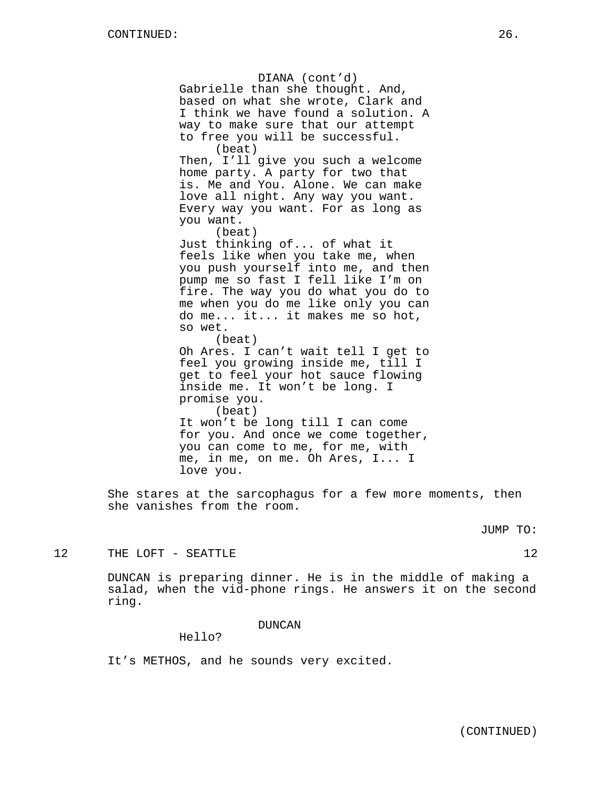DIANA (cont'd) Gabrielle than she thought. And, based on what she wrote, Clark and I think we have found a solution. A way to make sure that our attempt to free you will be successful. (beat) Then, I'll give you such a welcome home party. A party for two that is. Me and You. Alone. We can make love all night. Any way you want. Every way you want. For as long as you want. (beat) Just thinking of... of what it feels like when you take me, when you push yourself into me, and then pump me so fast I fell like I'm on fire. The way you do what you do to me when you do me like only you can do me... it... it makes me so hot, so wet. (beat) Oh Ares. I can't wait tell I get to feel you growing inside me, till I get to feel your hot sauce flowing inside me. It won't be long. I promise you. (beat) It won't be long till I can come for you. And once we come together, you can come to me, for me, with me, in me, on me. Oh Ares, I... I love you.

She stares at the sarcophagus for a few more moments, then she vanishes from the room.

JUMP TO:

# 12 THE LOFT - SEATTLE 12

DUNCAN is preparing dinner. He is in the middle of making a salad, when the vid-phone rings. He answers it on the second ring.

DUNCAN

Hello?

It's METHOS, and he sounds very excited.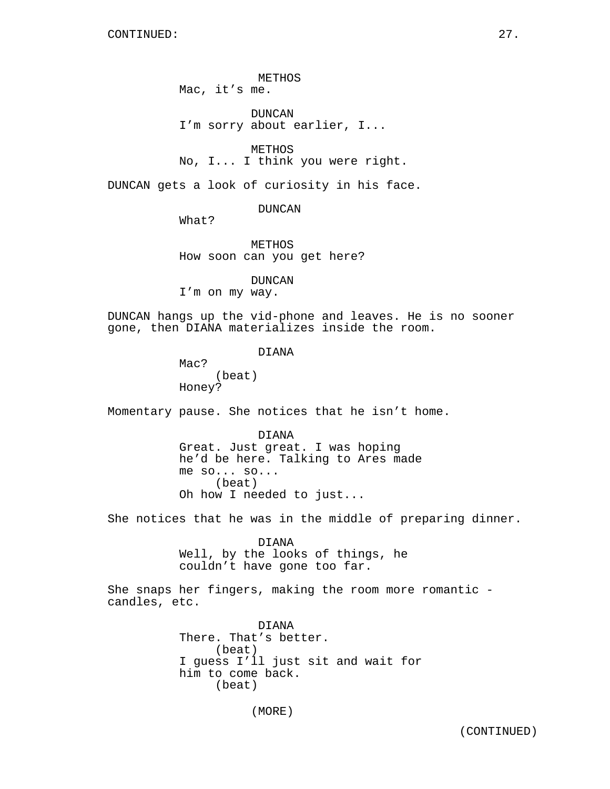METHOS Mac, it's me.

DUNCAN I'm sorry about earlier, I...

METHOS No, I... I think you were right.

DUNCAN gets a look of curiosity in his face.

DUNCAN

What?

METHOS How soon can you get here?

DUNCAN I'm on my way.

DUNCAN hangs up the vid-phone and leaves. He is no sooner gone, then DIANA materializes inside the room.

DIANA

Mac? (beat) Honey?

Momentary pause. She notices that he isn't home.

DIANA Great. Just great. I was hoping he'd be here. Talking to Ares made me so... so... (beat) Oh how I needed to just...

She notices that he was in the middle of preparing dinner.

DIANA Well, by the looks of things, he couldn't have gone too far.

She snaps her fingers, making the room more romantic candles, etc.

> DIANA There. That's better. (beat) I guess I'll just sit and wait for him to come back. (beat)

> > (MORE)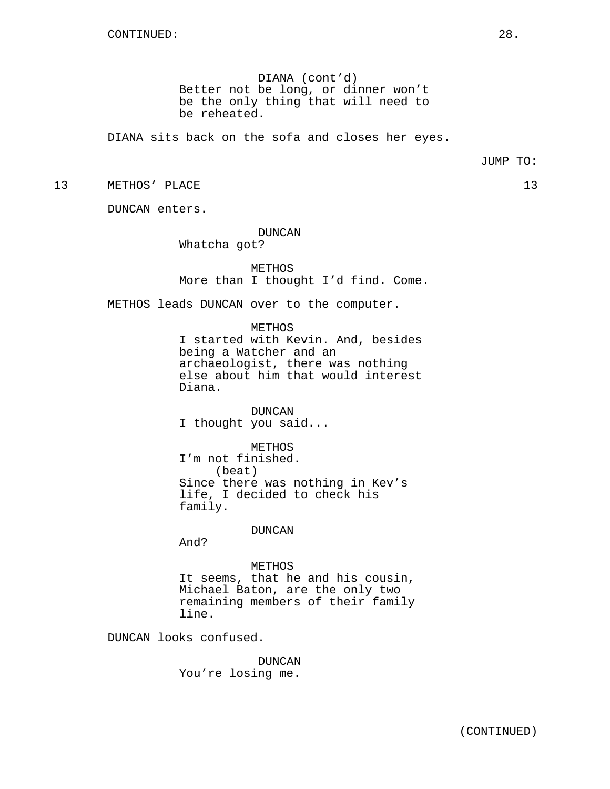DIANA (cont'd) Better not be long, or dinner won't be the only thing that will need to be reheated.

DIANA sits back on the sofa and closes her eyes.

13 METHOS' PLACE 23

DUNCAN enters.

DUNCAN Whatcha got?

METHOS More than I thought I'd find. Come.

METHOS leads DUNCAN over to the computer.

METHOS I started with Kevin. And, besides being a Watcher and an archaeologist, there was nothing else about him that would interest Diana.

DUNCAN I thought you said...

METHOS

I'm not finished. (beat) Since there was nothing in Kev's life, I decided to check his family.

DUNCAN

And?

METHOS

It seems, that he and his cousin, Michael Baton, are the only two remaining members of their family line.

DUNCAN looks confused.

DUNCAN You're losing me.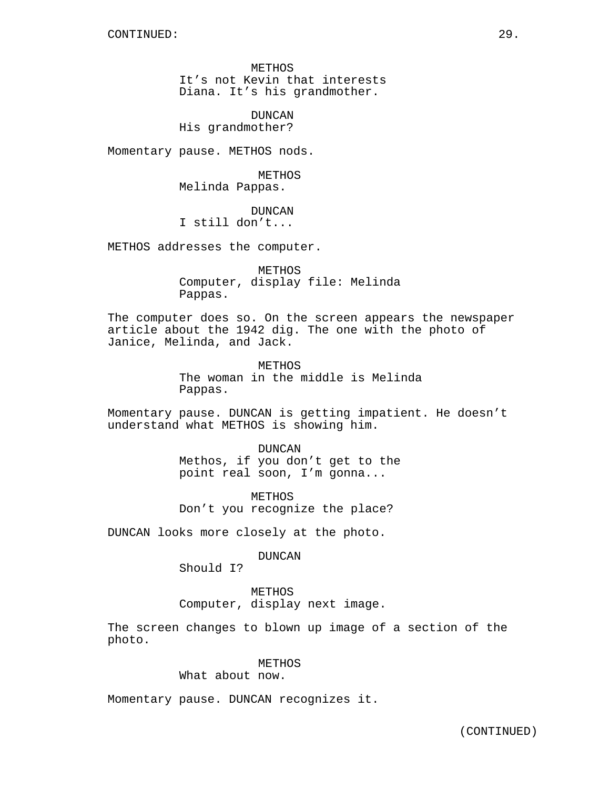METHOS It's not Kevin that interests Diana. It's his grandmother.

DUNCAN His grandmother?

Momentary pause. METHOS nods.

METHOS Melinda Pappas.

DUNCAN I still don't...

METHOS addresses the computer.

METHOS Computer, display file: Melinda Pappas.

The computer does so. On the screen appears the newspaper article about the 1942 dig. The one with the photo of Janice, Melinda, and Jack.

> METHOS The woman in the middle is Melinda Pappas.

Momentary pause. DUNCAN is getting impatient. He doesn't understand what METHOS is showing him.

> DUNCAN Methos, if you don't get to the point real soon, I'm gonna...

METHOS Don't you recognize the place?

DUNCAN looks more closely at the photo.

DUNCAN

Should I?

METHOS Computer, display next image.

The screen changes to blown up image of a section of the photo.

# METHOS

What about now.

Momentary pause. DUNCAN recognizes it.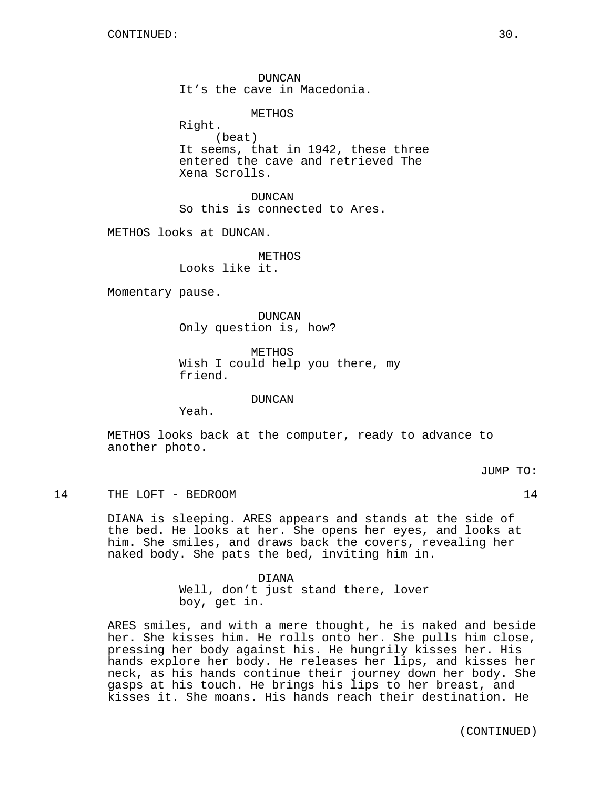DUNCAN It's the cave in Macedonia.

METHOS

Right. (beat) It seems, that in 1942, these three entered the cave and retrieved The Xena Scrolls.

DUNCAN So this is connected to Ares.

METHOS looks at DUNCAN.

METHOS Looks like it.

Momentary pause.

DUNCAN Only question is, how?

METHOS Wish I could help you there, my friend.

DUNCAN

Yeah.

METHOS looks back at the computer, ready to advance to another photo.

JUMP TO:

14 THE LOFT - BEDROOM 14

DIANA is sleeping. ARES appears and stands at the side of the bed. He looks at her. She opens her eyes, and looks at him. She smiles, and draws back the covers, revealing her naked body. She pats the bed, inviting him in.

> DIANA Well, don't just stand there, lover boy, get in.

ARES smiles, and with a mere thought, he is naked and beside her. She kisses him. He rolls onto her. She pulls him close, pressing her body against his. He hungrily kisses her. His hands explore her body. He releases her lips, and kisses her neck, as his hands continue their journey down her body. She gasps at his touch. He brings his lips to her breast, and kisses it. She moans. His hands reach their destination. He

(CONTINUED)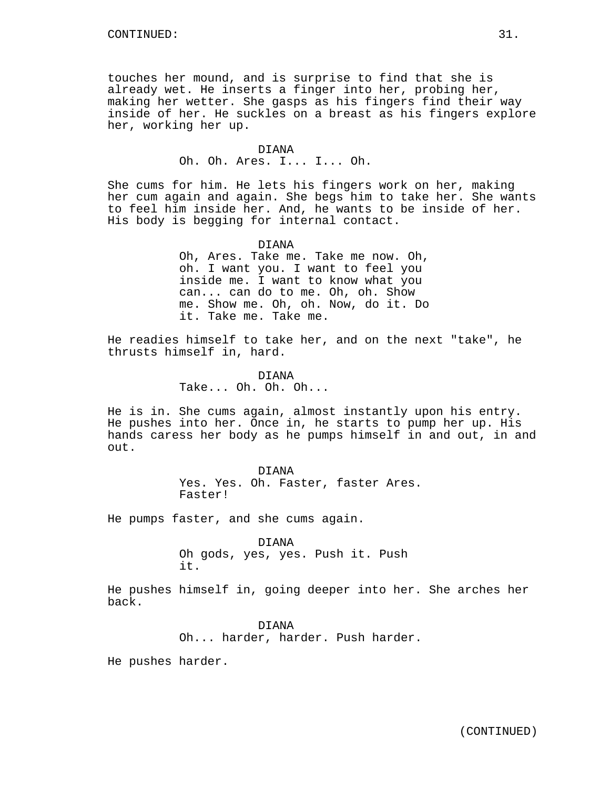touches her mound, and is surprise to find that she is already wet. He inserts a finger into her, probing her, making her wetter. She gasps as his fingers find their way inside of her. He suckles on a breast as his fingers explore her, working her up.

### DIANA Oh. Oh. Ares. I... I... Oh.

She cums for him. He lets his fingers work on her, making her cum again and again. She begs him to take her. She wants to feel him inside her. And, he wants to be inside of her. His body is begging for internal contact.

DIANA

Oh, Ares. Take me. Take me now. Oh, oh. I want you. I want to feel you inside me. I want to know what you can... can do to me. Oh, oh. Show me. Show me. Oh, oh. Now, do it. Do it. Take me. Take me.

He readies himself to take her, and on the next "take", he thrusts himself in, hard.

> DIANA Take... Oh. Oh. Oh...

He is in. She cums again, almost instantly upon his entry. He pushes into her. Once in, he starts to pump her up. His hands caress her body as he pumps himself in and out, in and out.

> DIANA Yes. Yes. Oh. Faster, faster Ares. Faster!

He pumps faster, and she cums again.

DIANA Oh gods, yes, yes. Push it. Push it.

He pushes himself in, going deeper into her. She arches her back.

> DIANA Oh... harder, harder. Push harder.

He pushes harder.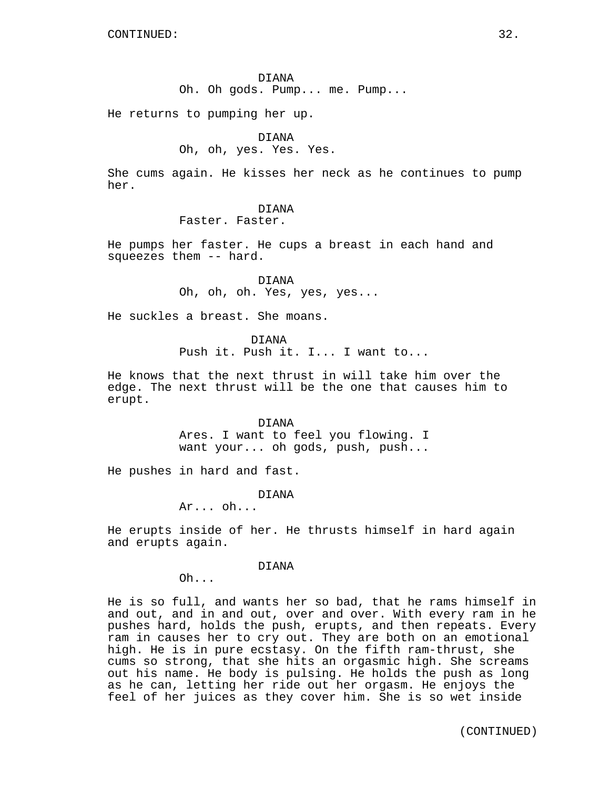He returns to pumping her up.

#### DIANA

Oh, oh, yes. Yes. Yes.

She cums again. He kisses her neck as he continues to pump her.

### DIANA

Faster. Faster.

He pumps her faster. He cups a breast in each hand and squeezes them -- hard.

> DIANA Oh, oh, oh. Yes, yes, yes...

He suckles a breast. She moans.

DIANA

Push it. Push it. I... I want to...

He knows that the next thrust in will take him over the edge. The next thrust will be the one that causes him to erupt.

> DIANA Ares. I want to feel you flowing. I want your... oh gods, push, push...

He pushes in hard and fast.

DIANA

Ar... oh...

He erupts inside of her. He thrusts himself in hard again and erupts again.

DIANA

Oh...

He is so full, and wants her so bad, that he rams himself in and out, and in and out, over and over. With every ram in he pushes hard, holds the push, erupts, and then repeats. Every ram in causes her to cry out. They are both on an emotional high. He is in pure ecstasy. On the fifth ram-thrust, she cums so strong, that she hits an orgasmic high. She screams out his name. He body is pulsing. He holds the push as long as he can, letting her ride out her orgasm. He enjoys the feel of her juices as they cover him. She is so wet inside

(CONTINUED)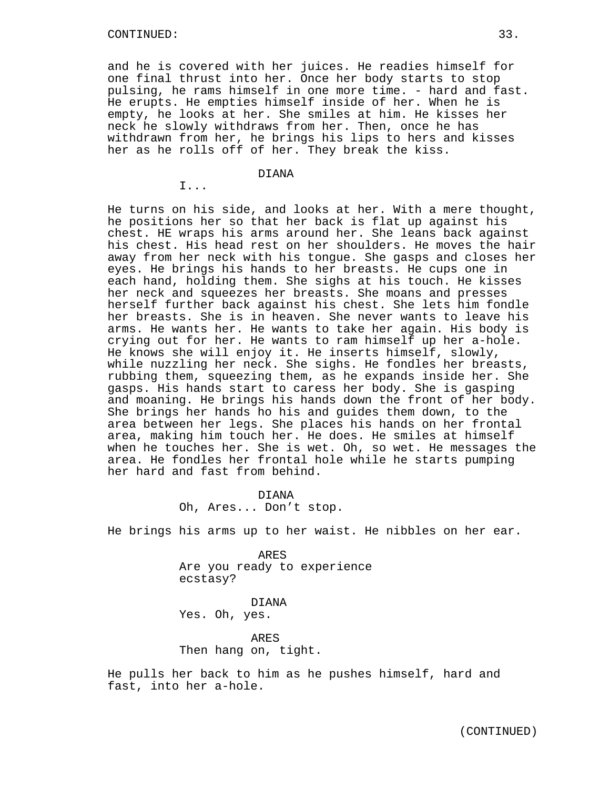I...

and he is covered with her juices. He readies himself for one final thrust into her. Once her body starts to stop pulsing, he rams himself in one more time. - hard and fast. He erupts. He empties himself inside of her. When he is empty, he looks at her. She smiles at him. He kisses her neck he slowly withdraws from her. Then, once he has withdrawn from her, he brings his lips to hers and kisses her as he rolls off of her. They break the kiss.

## DIANA

He turns on his side, and looks at her. With a mere thought, he positions her so that her back is flat up against his chest. HE wraps his arms around her. She leans back against his chest. His head rest on her shoulders. He moves the hair away from her neck with his tongue. She gasps and closes her eyes. He brings his hands to her breasts. He cups one in each hand, holding them. She sighs at his touch. He kisses her neck and squeezes her breasts. She moans and presses herself further back against his chest. She lets him fondle her breasts. She is in heaven. She never wants to leave his arms. He wants her. He wants to take her again. His body is crying out for her. He wants to ram himself up her a-hole. He knows she will enjoy it. He inserts himself, slowly, while nuzzling her neck. She sighs. He fondles her breasts, rubbing them, squeezing them, as he expands inside her. She gasps. His hands start to caress her body. She is gasping and moaning. He brings his hands down the front of her body. She brings her hands ho his and guides them down, to the area between her legs. She places his hands on her frontal area, making him touch her. He does. He smiles at himself when he touches her. She is wet. Oh, so wet. He messages the area. He fondles her frontal hole while he starts pumping her hard and fast from behind.

> DIANA Oh, Ares... Don't stop.

He brings his arms up to her waist. He nibbles on her ear.

ARES Are you ready to experience ecstasy?

DIANA Yes. Oh, yes.

ARES Then hang on, tight.

He pulls her back to him as he pushes himself, hard and fast, into her a-hole.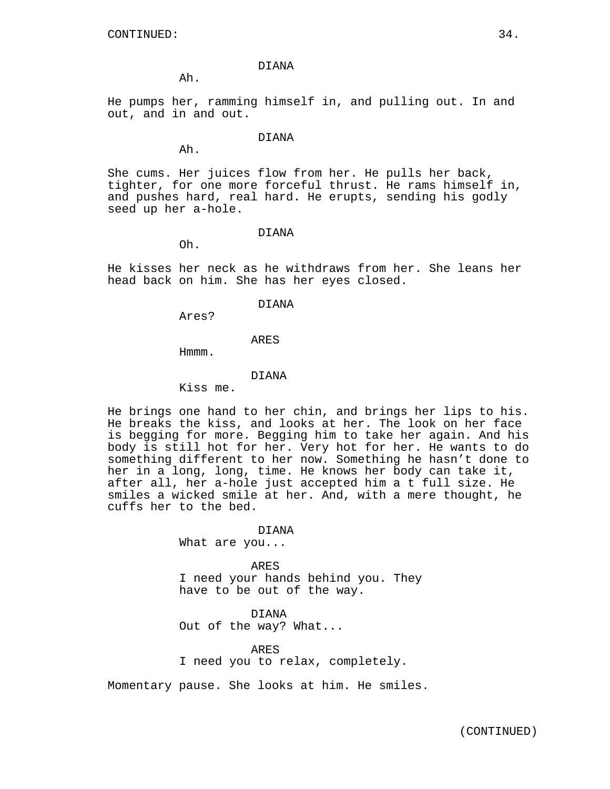Ah.

He pumps her, ramming himself in, and pulling out. In and out, and in and out.

## DIANA

Ah.

She cums. Her juices flow from her. He pulls her back, tighter, for one more forceful thrust. He rams himself in, and pushes hard, real hard. He erupts, sending his godly seed up her a-hole.

#### DIANA

Oh.

He kisses her neck as he withdraws from her. She leans her head back on him. She has her eyes closed.

#### DIANA

Ares?

## ARES

Hmmm.

#### DIANA

Kiss me.

He brings one hand to her chin, and brings her lips to his. He breaks the kiss, and looks at her. The look on her face is begging for more. Begging him to take her again. And his body is still hot for her. Very hot for her. He wants to do something different to her now. Something he hasn't done to her in a long, long, time. He knows her body can take it, after all, her a-hole just accepted him a t full size. He smiles a wicked smile at her. And, with a mere thought, he cuffs her to the bed.

DIANA

What are you...

ARES I need your hands behind you. They have to be out of the way.

DIANA Out of the way? What...

ARES I need you to relax, completely.

Momentary pause. She looks at him. He smiles.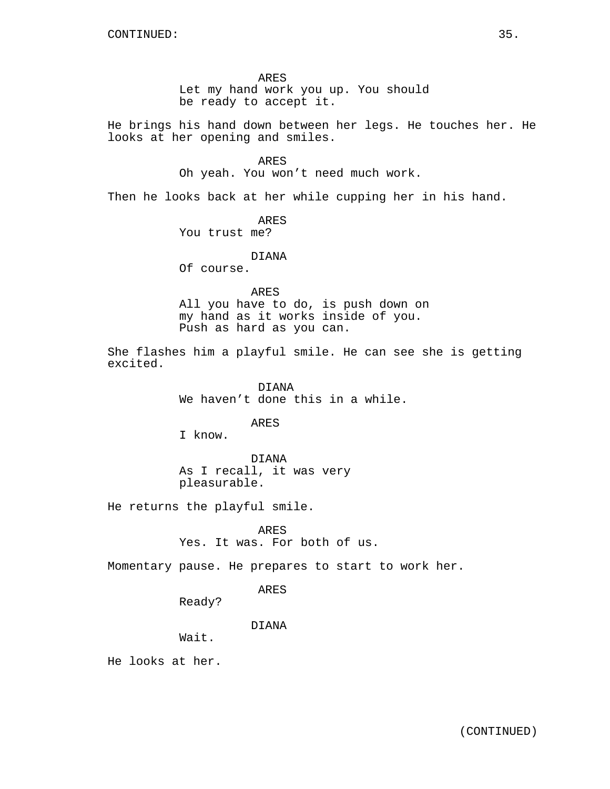ARES

Let my hand work you up. You should be ready to accept it.

He brings his hand down between her legs. He touches her. He looks at her opening and smiles.

ARES

Oh yeah. You won't need much work.

Then he looks back at her while cupping her in his hand.

ARES

You trust me?

DIANA

Of course.

#### ARES

All you have to do, is push down on my hand as it works inside of you. Push as hard as you can.

She flashes him a playful smile. He can see she is getting excited.

> DIANA We haven't done this in a while.

> > ARES

I know.

DIANA As I recall, it was very pleasurable.

He returns the playful smile.

ARES

Yes. It was. For both of us.

Momentary pause. He prepares to start to work her.

ARES

Ready?

DIANA

Wait.

He looks at her.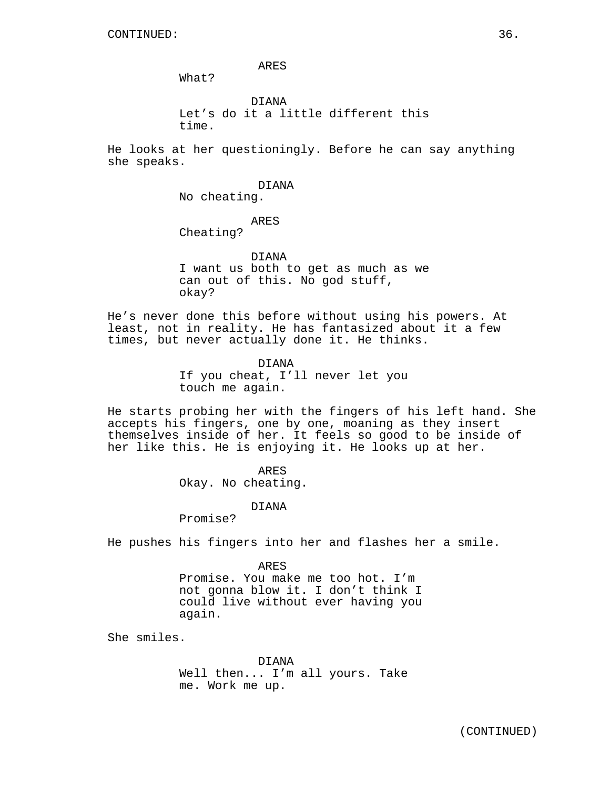ARES

What?

DIANA Let's do it a little different this time.

He looks at her questioningly. Before he can say anything she speaks.

#### DIANA

No cheating.

# ARES

Cheating?

DIANA

I want us both to get as much as we can out of this. No god stuff, okay?

He's never done this before without using his powers. At least, not in reality. He has fantasized about it a few times, but never actually done it. He thinks.

> DIANA If you cheat, I'll never let you touch me again.

He starts probing her with the fingers of his left hand. She accepts his fingers, one by one, moaning as they insert themselves inside of her. It feels so good to be inside of her like this. He is enjoying it. He looks up at her.

ARES

Okay. No cheating.

#### DIANA

Promise?

He pushes his fingers into her and flashes her a smile.

ARES

Promise. You make me too hot. I'm not gonna blow it. I don't think I could live without ever having you again.

She smiles.

DIANA Well then... I'm all yours. Take me. Work me up.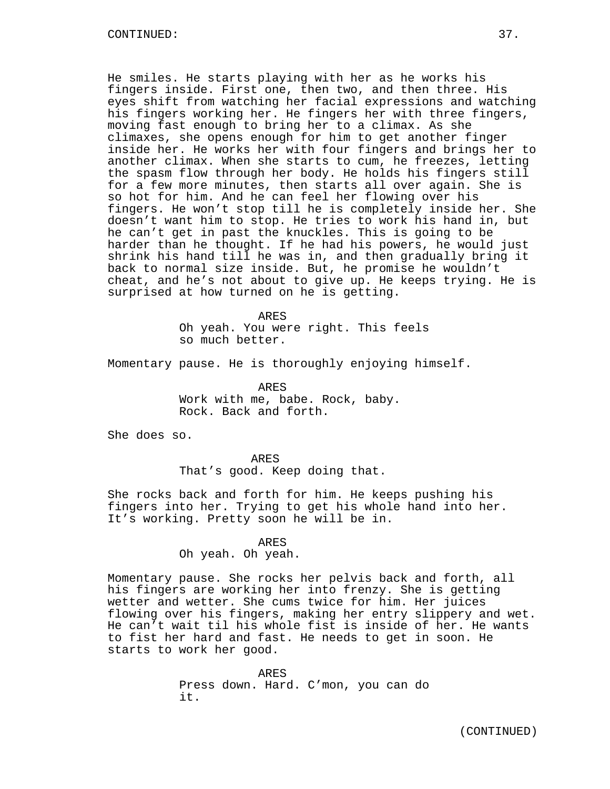He smiles. He starts playing with her as he works his fingers inside. First one, then two, and then three. His eyes shift from watching her facial expressions and watching his fingers working her. He fingers her with three fingers, moving fast enough to bring her to a climax. As she climaxes, she opens enough for him to get another finger inside her. He works her with four fingers and brings her to another climax. When she starts to cum, he freezes, letting the spasm flow through her body. He holds his fingers still for a few more minutes, then starts all over again. She is so hot for him. And he can feel her flowing over his fingers. He won't stop till he is completely inside her. She doesn't want him to stop. He tries to work his hand in, but he can't get in past the knuckles. This is going to be harder than he thought. If he had his powers, he would just shrink his hand till he was in, and then gradually bring it back to normal size inside. But, he promise he wouldn't cheat, and he's not about to give up. He keeps trying. He is surprised at how turned on he is getting.

> ARES Oh yeah. You were right. This feels so much better.

Momentary pause. He is thoroughly enjoying himself.

ARES Work with me, babe. Rock, baby. Rock. Back and forth.

She does so.

ARES That's good. Keep doing that.

She rocks back and forth for him. He keeps pushing his fingers into her. Trying to get his whole hand into her. It's working. Pretty soon he will be in.

ARES

Oh yeah. Oh yeah.

Momentary pause. She rocks her pelvis back and forth, all his fingers are working her into frenzy. She is getting wetter and wetter. She cums twice for him. Her juices flowing over his fingers, making her entry slippery and wet. He can't wait til his whole fist is inside of her. He wants to fist her hard and fast. He needs to get in soon. He starts to work her good.

> ARES Press down. Hard. C'mon, you can do it.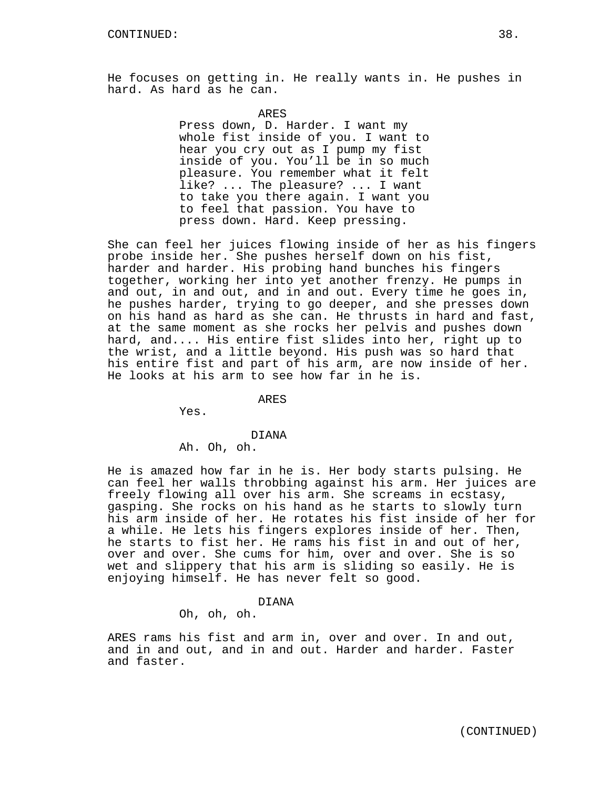He focuses on getting in. He really wants in. He pushes in hard. As hard as he can.

ARES

Press down, D. Harder. I want my whole fist inside of you. I want to hear you cry out as I pump my fist inside of you. You'll be in so much pleasure. You remember what it felt like? ... The pleasure? ... I want to take you there again. I want you to feel that passion. You have to press down. Hard. Keep pressing.

She can feel her juices flowing inside of her as his fingers probe inside her. She pushes herself down on his fist, harder and harder. His probing hand bunches his fingers together, working her into yet another frenzy. He pumps in and out, in and out, and in and out. Every time he goes in, he pushes harder, trying to go deeper, and she presses down on his hand as hard as she can. He thrusts in hard and fast, at the same moment as she rocks her pelvis and pushes down hard, and.... His entire fist slides into her, right up to the wrist, and a little beyond. His push was so hard that his entire fist and part of his arm, are now inside of her. He looks at his arm to see how far in he is.

ARES

Yes.

### DIANA

Ah. Oh, oh.

He is amazed how far in he is. Her body starts pulsing. He can feel her walls throbbing against his arm. Her juices are freely flowing all over his arm. She screams in ecstasy, gasping. She rocks on his hand as he starts to slowly turn his arm inside of her. He rotates his fist inside of her for a while. He lets his fingers explores inside of her. Then, he starts to fist her. He rams his fist in and out of her, over and over. She cums for him, over and over. She is so wet and slippery that his arm is sliding so easily. He is enjoying himself. He has never felt so good.

#### DIANA

Oh, oh, oh.

ARES rams his fist and arm in, over and over. In and out, and in and out, and in and out. Harder and harder. Faster and faster.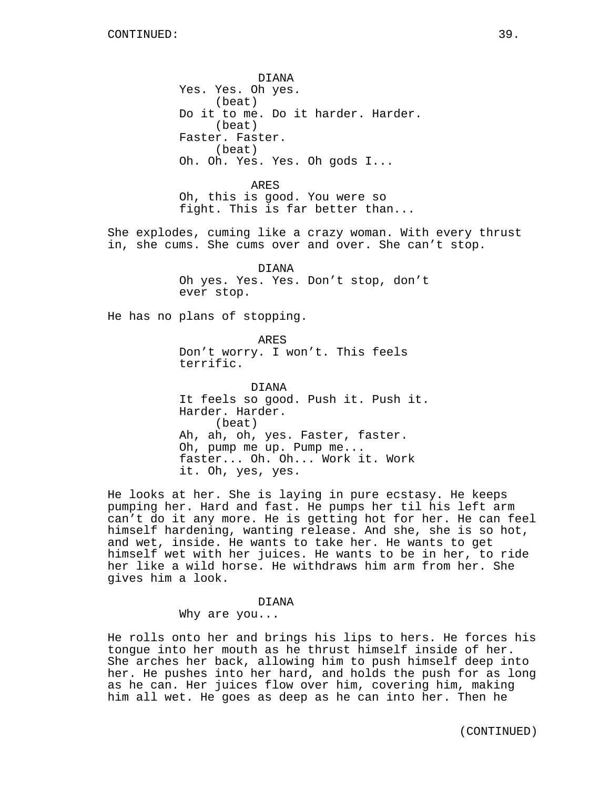DIANA Yes. Yes. Oh yes. (beat) Do it to me. Do it harder. Harder. (beat) Faster. Faster. (beat) Oh. Oh. Yes. Yes. Oh gods I... ARES Oh, this is good. You were so fight. This is far better than... She explodes, cuming like a crazy woman. With every thrust in, she cums. She cums over and over. She can't stop. DIANA Oh yes. Yes. Yes. Don't stop, don't ever stop. He has no plans of stopping. ARES Don't worry. I won't. This feels terrific. DIANA It feels so good. Push it. Push it. Harder. Harder. (beat) Ah, ah, oh, yes. Faster, faster. Oh, pump me up. Pump me... faster... Oh. Oh... Work it. Work it. Oh, yes, yes.

He looks at her. She is laying in pure ecstasy. He keeps pumping her. Hard and fast. He pumps her til his left arm can't do it any more. He is getting hot for her. He can feel himself hardening, wanting release. And she, she is so hot, and wet, inside. He wants to take her. He wants to get himself wet with her juices. He wants to be in her, to ride her like a wild horse. He withdraws him arm from her. She gives him a look.

#### DIANA

Why are you...

He rolls onto her and brings his lips to hers. He forces his tongue into her mouth as he thrust himself inside of her. She arches her back, allowing him to push himself deep into her. He pushes into her hard, and holds the push for as long as he can. Her juices flow over him, covering him, making him all wet. He goes as deep as he can into her. Then he

(CONTINUED)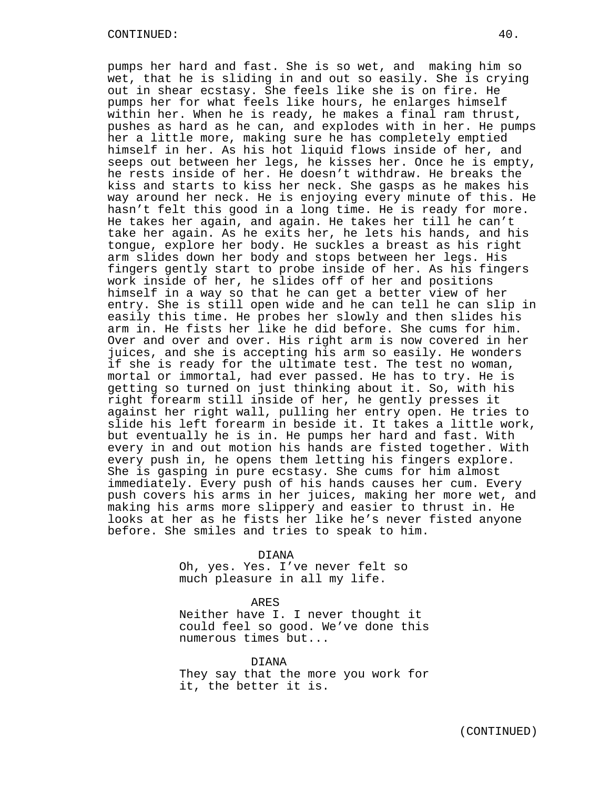pumps her hard and fast. She is so wet, and making him so wet, that he is sliding in and out so easily. She is crying out in shear ecstasy. She feels like she is on fire. He pumps her for what feels like hours, he enlarges himself within her. When he is ready, he makes a final ram thrust, pushes as hard as he can, and explodes with in her. He pumps her a little more, making sure he has completely emptied himself in her. As his hot liquid flows inside of her, and seeps out between her legs, he kisses her. Once he is empty, he rests inside of her. He doesn't withdraw. He breaks the kiss and starts to kiss her neck. She gasps as he makes his way around her neck. He is enjoying every minute of this. He hasn't felt this good in a long time. He is ready for more. He takes her again, and again. He takes her till he can't take her again. As he exits her, he lets his hands, and his tongue, explore her body. He suckles a breast as his right arm slides down her body and stops between her legs. His fingers gently start to probe inside of her. As his fingers work inside of her, he slides off of her and positions himself in a way so that he can get a better view of her entry. She is still open wide and he can tell he can slip in easily this time. He probes her slowly and then slides his arm in. He fists her like he did before. She cums for him. Over and over and over. His right arm is now covered in her juices, and she is accepting his arm so easily. He wonders if she is ready for the ultimate test. The test no woman, mortal or immortal, had ever passed. He has to try. He is getting so turned on just thinking about it. So, with his right forearm still inside of her, he gently presses it against her right wall, pulling her entry open. He tries to slide his left forearm in beside it. It takes a little work, but eventually he is in. He pumps her hard and fast. With every in and out motion his hands are fisted together. With every push in, he opens them letting his fingers explore. She is gasping in pure ecstasy. She cums for him almost immediately. Every push of his hands causes her cum. Every push covers his arms in her juices, making her more wet, and making his arms more slippery and easier to thrust in. He looks at her as he fists her like he's never fisted anyone before. She smiles and tries to speak to him.

DIANA

Oh, yes. Yes. I've never felt so much pleasure in all my life.

ARES Neither have I. I never thought it could feel so good. We've done this numerous times but...

DIANA They say that the more you work for it, the better it is.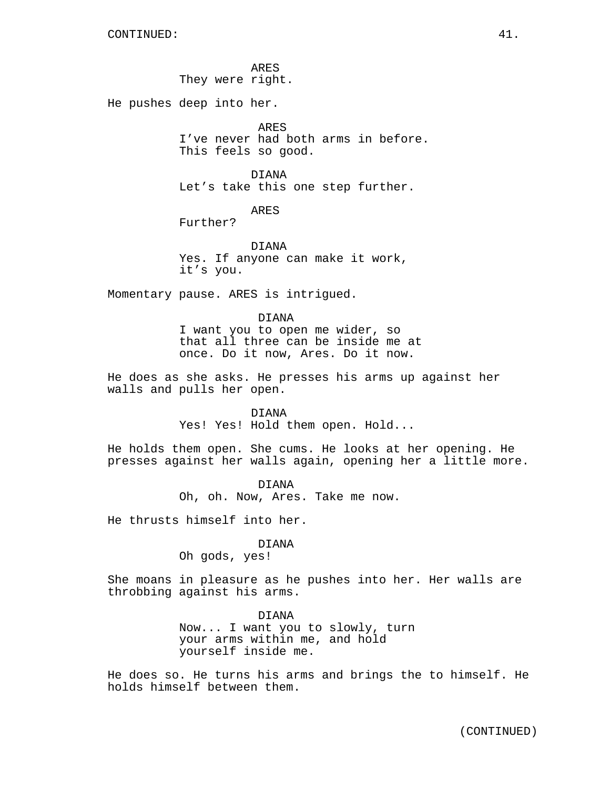ARES They were right.

He pushes deep into her.

ARES I've never had both arms in before. This feels so good.

DIANA Let's take this one step further.

ARES

Further?

DIANA Yes. If anyone can make it work, it's you.

Momentary pause. ARES is intrigued.

DIANA I want you to open me wider, so that all three can be inside me at once. Do it now, Ares. Do it now.

He does as she asks. He presses his arms up against her walls and pulls her open.

> DIANA Yes! Yes! Hold them open. Hold...

He holds them open. She cums. He looks at her opening. He presses against her walls again, opening her a little more.

> DIANA Oh, oh. Now, Ares. Take me now.

He thrusts himself into her.

#### DIANA

Oh gods, yes!

She moans in pleasure as he pushes into her. Her walls are throbbing against his arms.

> DIANA Now... I want you to slowly, turn your arms within me, and hold yourself inside me.

He does so. He turns his arms and brings the to himself. He holds himself between them.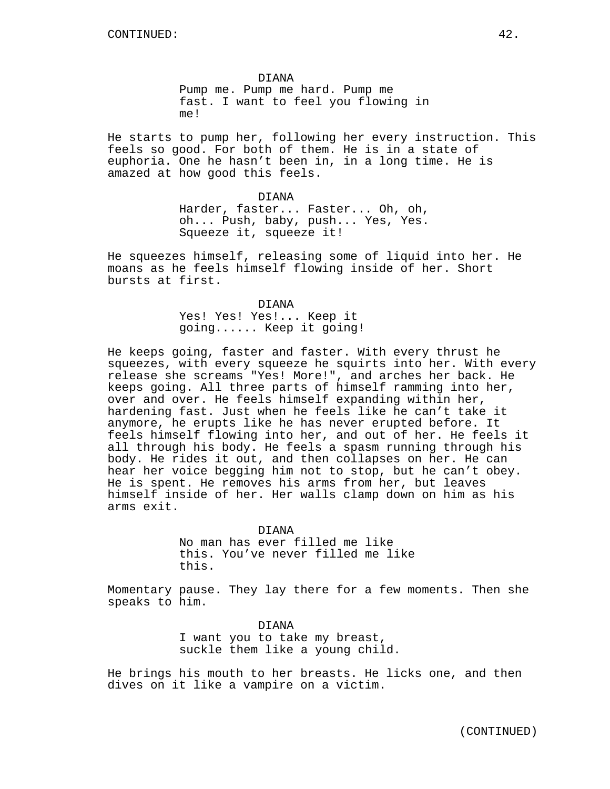DIANA Pump me. Pump me hard. Pump me fast. I want to feel you flowing in me!

He starts to pump her, following her every instruction. This feels so good. For both of them. He is in a state of euphoria. One he hasn't been in, in a long time. He is amazed at how good this feels.

DIANA

Harder, faster... Faster... Oh, oh, oh... Push, baby, push... Yes, Yes. Squeeze it, squeeze it!

He squeezes himself, releasing some of liquid into her. He moans as he feels himself flowing inside of her. Short bursts at first.

DIANA

Yes! Yes! Yes!... Keep it going...... Keep it going!

He keeps going, faster and faster. With every thrust he squeezes, with every squeeze he squirts into her. With every release she screams "Yes! More!", and arches her back. He keeps going. All three parts of himself ramming into her, over and over. He feels himself expanding within her, hardening fast. Just when he feels like he can't take it anymore, he erupts like he has never erupted before. It feels himself flowing into her, and out of her. He feels it all through his body. He feels a spasm running through his body. He rides it out, and then collapses on her. He can hear her voice begging him not to stop, but he can't obey. He is spent. He removes his arms from her, but leaves himself inside of her. Her walls clamp down on him as his arms exit.

> DIANA No man has ever filled me like this. You've never filled me like this.

Momentary pause. They lay there for a few moments. Then she speaks to him.

> DIANA I want you to take my breast, suckle them like a young child.

He brings his mouth to her breasts. He licks one, and then dives on it like a vampire on a victim.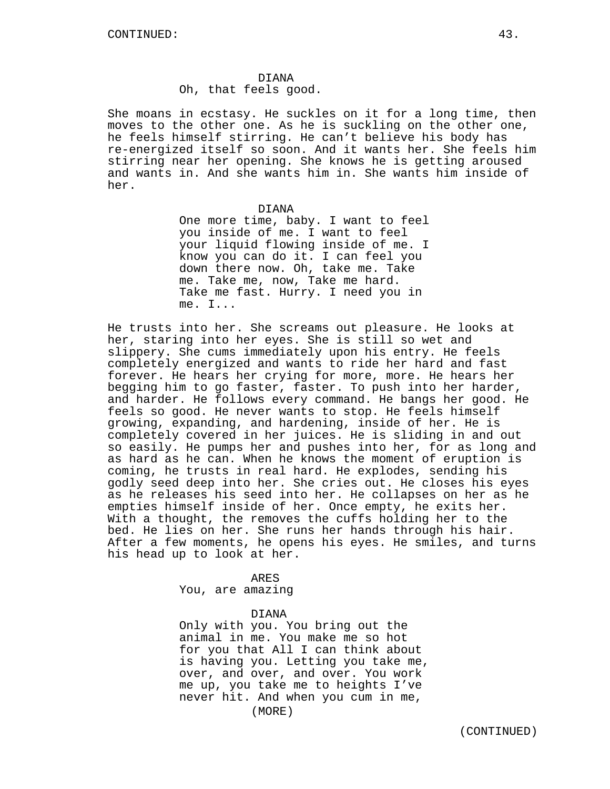Oh, that feels good.

She moans in ecstasy. He suckles on it for a long time, then moves to the other one. As he is suckling on the other one, he feels himself stirring. He can't believe his body has re-energized itself so soon. And it wants her. She feels him stirring near her opening. She knows he is getting aroused and wants in. And she wants him in. She wants him inside of her.

DIANA

One more time, baby. I want to feel you inside of me. I want to feel your liquid flowing inside of me. I know you can do it. I can feel you down there now. Oh, take me. Take me. Take me, now, Take me hard. Take me fast. Hurry. I need you in me. I...

He trusts into her. She screams out pleasure. He looks at her, staring into her eyes. She is still so wet and slippery. She cums immediately upon his entry. He feels completely energized and wants to ride her hard and fast forever. He hears her crying for more, more. He hears her begging him to go faster, faster. To push into her harder, and harder. He follows every command. He bangs her good. He feels so good. He never wants to stop. He feels himself growing, expanding, and hardening, inside of her. He is completely covered in her juices. He is sliding in and out so easily. He pumps her and pushes into her, for as long and as hard as he can. When he knows the moment of eruption is coming, he trusts in real hard. He explodes, sending his godly seed deep into her. She cries out. He closes his eyes as he releases his seed into her. He collapses on her as he empties himself inside of her. Once empty, he exits her. With a thought, the removes the cuffs holding her to the bed. He lies on her. She runs her hands through his hair. After a few moments, he opens his eyes. He smiles, and turns his head up to look at her.

> ARES You, are amazing

> > DIANA

Only with you. You bring out the animal in me. You make me so hot for you that All I can think about is having you. Letting you take me, over, and over, and over. You work me up, you take me to heights I've never hit. And when you cum in me, (MORE)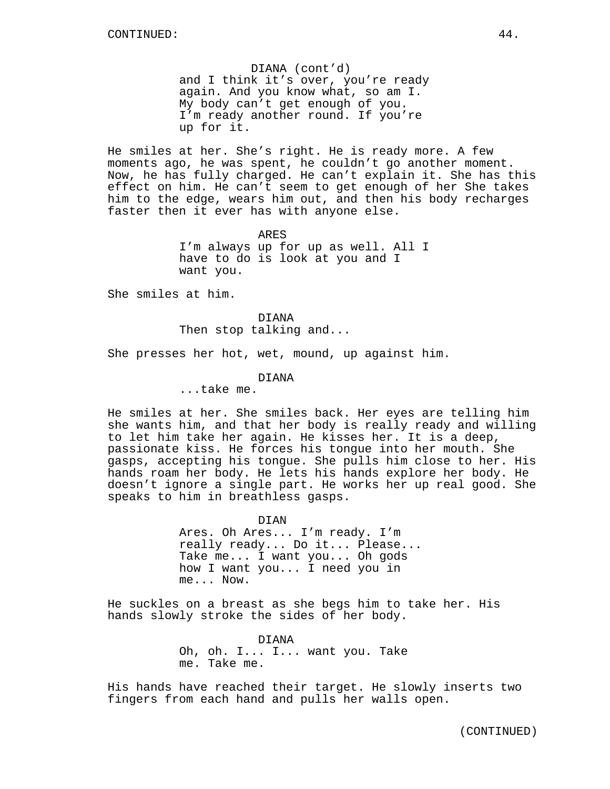DIANA (cont'd) and I think it's over, you're ready again. And you know what, so am I. My body can't get enough of you. I'm ready another round. If you're up for it.

He smiles at her. She's right. He is ready more. A few moments ago, he was spent, he couldn't go another moment. Now, he has fully charged. He can't explain it. She has this effect on him. He can't seem to get enough of her She takes him to the edge, wears him out, and then his body recharges faster then it ever has with anyone else.

> ARES I'm always up for up as well. All I have to do is look at you and I want you.

She smiles at him.

DIANA Then stop talking and...

She presses her hot, wet, mound, up against him.

DIANA

...take me.

He smiles at her. She smiles back. Her eyes are telling him she wants him, and that her body is really ready and willing to let him take her again. He kisses her. It is a deep, passionate kiss. He forces his tongue into her mouth. She gasps, accepting his tongue. She pulls him close to her. His hands roam her body. He lets his hands explore her body. He doesn't ignore a single part. He works her up real good. She speaks to him in breathless gasps.

> DIAN Ares. Oh Ares... I'm ready. I'm really ready... Do it... Please... Take me... I want you... Oh gods how I want you... I need you in me... Now.

He suckles on a breast as she begs him to take her. His hands slowly stroke the sides of her body.

> DIANA Oh, oh. I... I... want you. Take me. Take me.

His hands have reached their target. He slowly inserts two fingers from each hand and pulls her walls open.

(CONTINUED)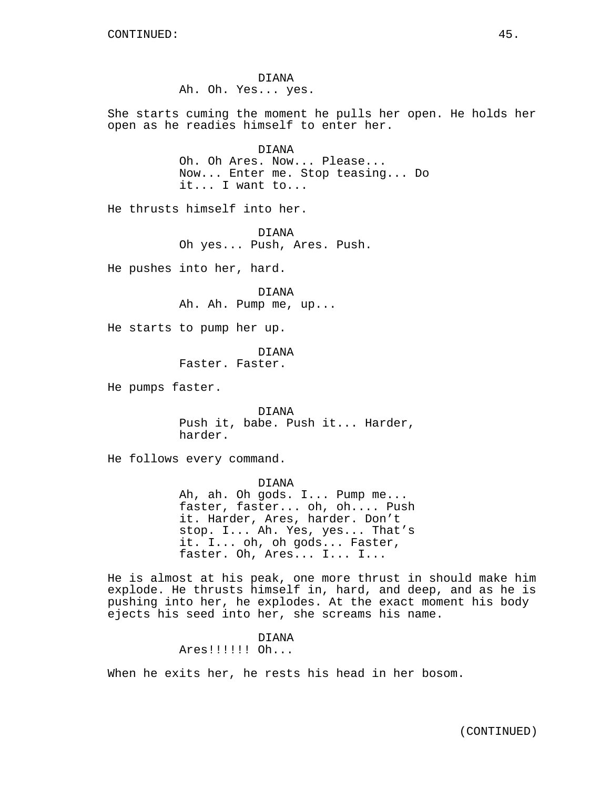DIANA Ah. Oh. Yes... yes.

She starts cuming the moment he pulls her open. He holds her open as he readies himself to enter her.

> DIANA Oh. Oh Ares. Now... Please... Now... Enter me. Stop teasing... Do it... I want to...

He thrusts himself into her.

DIANA Oh yes... Push, Ares. Push.

He pushes into her, hard.

DIANA Ah. Ah. Pump me, up...

He starts to pump her up.

DIANA Faster. Faster.

He pumps faster.

DIANA Push it, babe. Push it... Harder, harder.

He follows every command.

DIANA Ah, ah. Oh gods. I... Pump me... faster, faster... oh, oh.... Push it. Harder, Ares, harder. Don't stop. I... Ah. Yes, yes... That's it. I... oh, oh gods... Faster, faster. Oh, Ares... I... I...

He is almost at his peak, one more thrust in should make him explode. He thrusts himself in, hard, and deep, and as he is pushing into her, he explodes. At the exact moment his body ejects his seed into her, she screams his name.

> DIANA Ares!!!!!! Oh...

When he exits her, he rests his head in her bosom.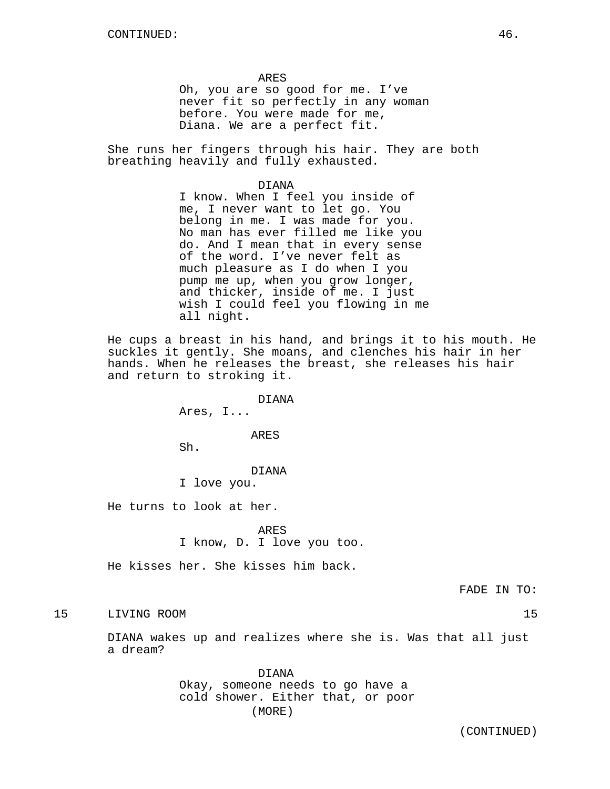ARES

Oh, you are so good for me. I've never fit so perfectly in any woman before. You were made for me, Diana. We are a perfect fit.

She runs her fingers through his hair. They are both breathing heavily and fully exhausted.

DIANA

I know. When I feel you inside of me, I never want to let go. You belong in me. I was made for you. No man has ever filled me like you do. And I mean that in every sense of the word. I've never felt as much pleasure as I do when I you pump me up, when you grow longer, and thicker, inside of me. I just wish I could feel you flowing in me all night.

He cups a breast in his hand, and brings it to his mouth. He suckles it gently. She moans, and clenches his hair in her hands. When he releases the breast, she releases his hair and return to stroking it.

DIANA

Ares, I...

ARES

Sh.

#### DIANA

I love you.

He turns to look at her.

ARES

I know, D. I love you too.

He kisses her. She kisses him back.

FADE IN TO:

# 15 LIVING ROOM 15

DIANA wakes up and realizes where she is. Was that all just a dream?

> DIANA Okay, someone needs to go have a cold shower. Either that, or poor (MORE)

(CONTINUED)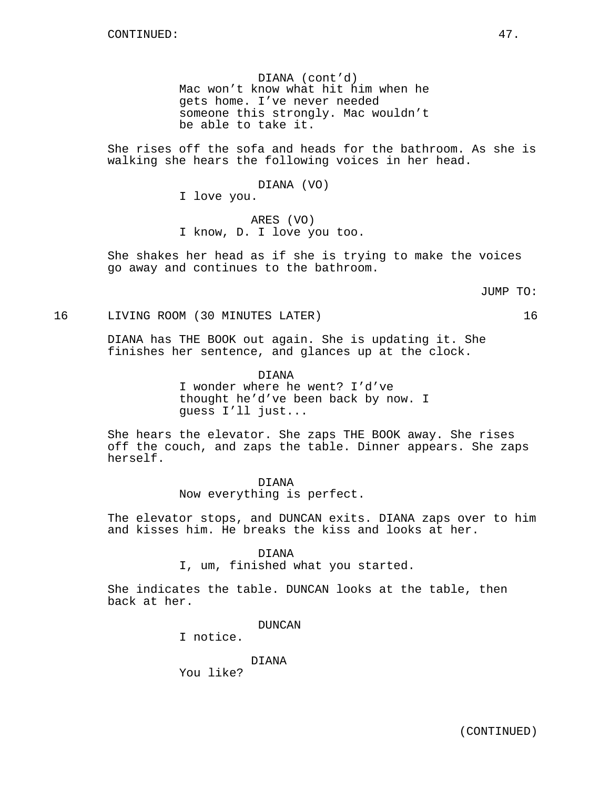DIANA (cont'd) Mac won't know what hit him when he gets home. I've never needed someone this strongly. Mac wouldn't be able to take it.

She rises off the sofa and heads for the bathroom. As she is walking she hears the following voices in her head.

DIANA (VO)

I love you.

ARES (VO) I know, D. I love you too.

She shakes her head as if she is trying to make the voices go away and continues to the bathroom.

JUMP TO:

16 LIVING ROOM (30 MINUTES LATER) 16

DIANA has THE BOOK out again. She is updating it. She finishes her sentence, and glances up at the clock.

> DIANA I wonder where he went? I'd've thought he'd've been back by now. I guess I'll just...

She hears the elevator. She zaps THE BOOK away. She rises off the couch, and zaps the table. Dinner appears. She zaps herself.

> DIANA Now everything is perfect.

The elevator stops, and DUNCAN exits. DIANA zaps over to him and kisses him. He breaks the kiss and looks at her.

#### DIANA

I, um, finished what you started.

She indicates the table. DUNCAN looks at the table, then back at her.

DUNCAN

I notice.

DIANA

You like?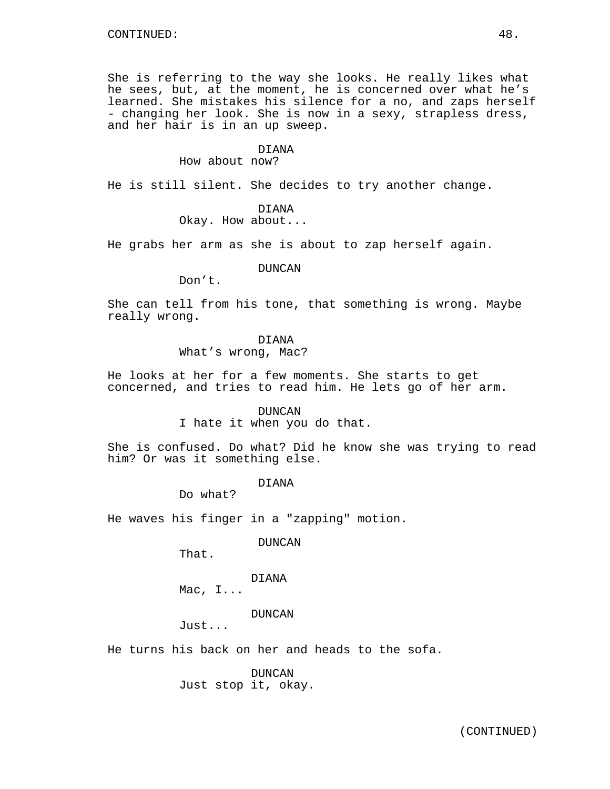She is referring to the way she looks. He really likes what he sees, but, at the moment, he is concerned over what he's learned. She mistakes his silence for a no, and zaps herself - changing her look. She is now in a sexy, strapless dress, and her hair is in an up sweep.

#### DIANA

How about now?

He is still silent. She decides to try another change.

#### DIANA

Okay. How about...

He grabs her arm as she is about to zap herself again.

### DUNCAN

Don't.

She can tell from his tone, that something is wrong. Maybe really wrong.

## DIANA

What's wrong, Mac?

He looks at her for a few moments. She starts to get concerned, and tries to read him. He lets go of her arm.

#### DUNCAN

I hate it when you do that.

She is confused. Do what? Did he know she was trying to read him? Or was it something else.

DIANA

Do what?

He waves his finger in a "zapping" motion.

DUNCAN

That.

# DIANA

Mac, I...

DUNCAN

Just...

He turns his back on her and heads to the sofa.

DUNCAN Just stop it, okay.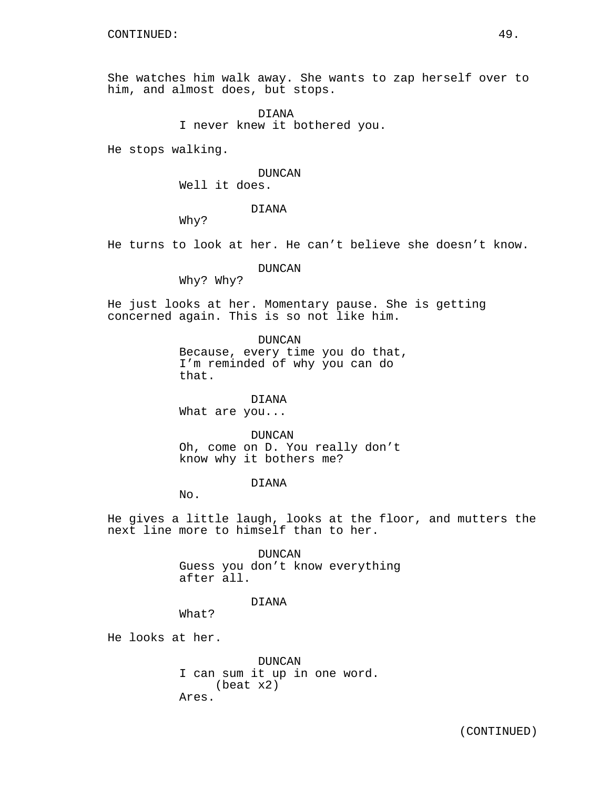She watches him walk away. She wants to zap herself over to him, and almost does, but stops.

> DIANA I never knew it bothered you.

He stops walking.

# DUNCAN

Well it does.

DIANA

Why?

He turns to look at her. He can't believe she doesn't know.

DUNCAN

Why? Why?

He just looks at her. Momentary pause. She is getting concerned again. This is so not like him.

> DUNCAN Because, every time you do that, I'm reminded of why you can do that.

DIANA What are you...

DUNCAN Oh, come on D. You really don't know why it bothers me?

## DIANA

No.

He gives a little laugh, looks at the floor, and mutters the next line more to himself than to her.

> DUNCAN Guess you don't know everything after all.

#### DIANA

What?

He looks at her.

DUNCAN I can sum it up in one word. (beat x2) Ares.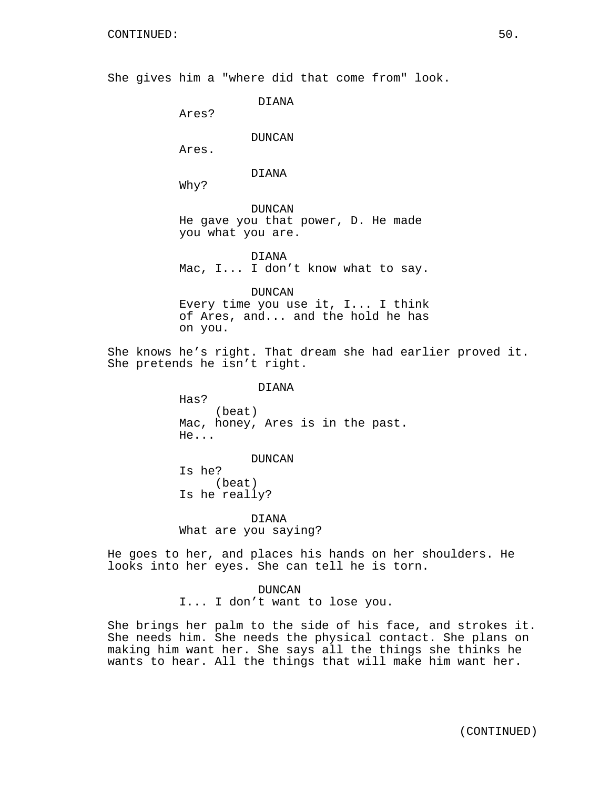She gives him a "where did that come from" look.

DIANA

Ares?

## DUNCAN

Ares.

### DIANA

Why?

DUNCAN He gave you that power, D. He made you what you are.

DIANA Mac, I... I don't know what to say.

DUNCAN Every time you use it, I... I think of Ares, and... and the hold he has on you.

She knows he's right. That dream she had earlier proved it. She pretends he isn't right.

> DIANA Has? (beat) Mac, honey, Ares is in the past. He...

DUNCAN Is he? (beat) Is he really?

DIANA What are you saying?

He goes to her, and places his hands on her shoulders. He looks into her eyes. She can tell he is torn.

DUNCAN

I... I don't want to lose you.

She brings her palm to the side of his face, and strokes it. She needs him. She needs the physical contact. She plans on making him want her. She says all the things she thinks he wants to hear. All the things that will make him want her.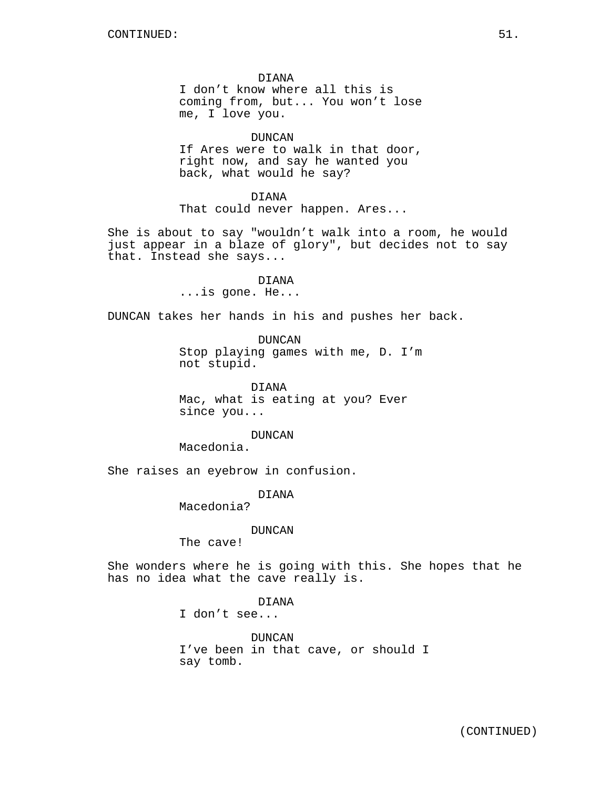DIANA I don't know where all this is coming from, but... You won't lose me, I love you.

DUNCAN If Ares were to walk in that door, right now, and say he wanted you back, what would he say?

DIANA That could never happen. Ares...

She is about to say "wouldn't walk into a room, he would just appear in a blaze of glory", but decides not to say that. Instead she says...

> DIANA ...is gone. He...

DUNCAN takes her hands in his and pushes her back.

DUNCAN Stop playing games with me, D. I'm not stupid.

DIANA Mac, what is eating at you? Ever since you...

DUNCAN

Macedonia.

She raises an eyebrow in confusion.

DIANA

Macedonia?

## DUNCAN

The cave!

She wonders where he is going with this. She hopes that he has no idea what the cave really is.

DIANA

I don't see...

DUNCAN I've been in that cave, or should I say tomb.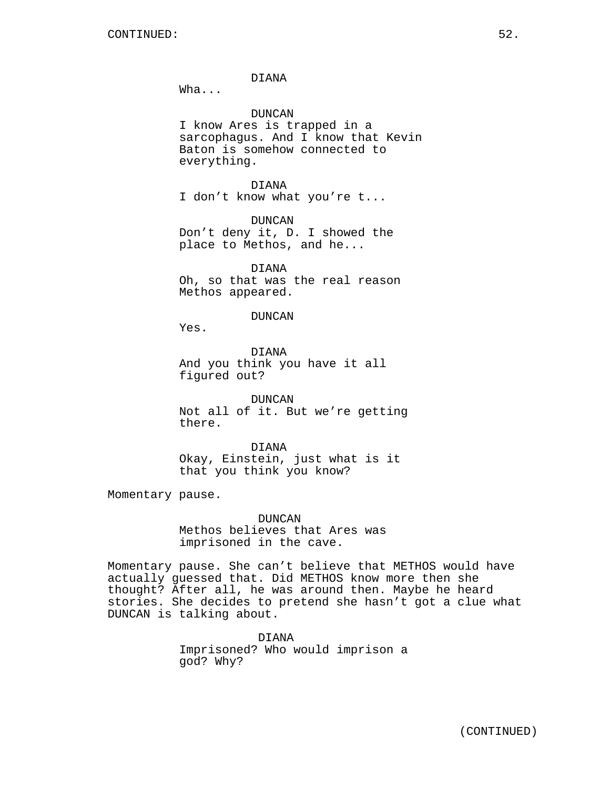DIANA

Wha...

DUNCAN

I know Ares is trapped in a sarcophagus. And I know that Kevin Baton is somehow connected to everything.

DIANA I don't know what you're t...

DUNCAN Don't deny it, D. I showed the place to Methos, and he...

DIANA Oh, so that was the real reason Methos appeared.

#### DUNCAN

Yes.

DIANA And you think you have it all figured out?

DUNCAN Not all of it. But we're getting there.

DIANA Okay, Einstein, just what is it that you think you know?

Momentary pause.

DUNCAN Methos believes that Ares was imprisoned in the cave.

Momentary pause. She can't believe that METHOS would have actually guessed that. Did METHOS know more then she thought? After all, he was around then. Maybe he heard stories. She decides to pretend she hasn't got a clue what DUNCAN is talking about.

> DIANA Imprisoned? Who would imprison a god? Why?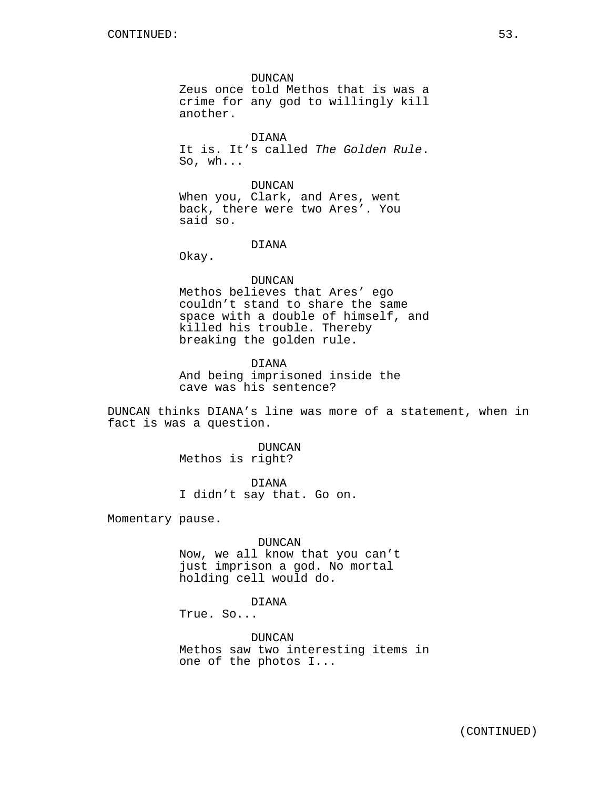DUNCAN Zeus once told Methos that is was a crime for any god to willingly kill another.

DIANA It is. It's called The Golden Rule. So, wh...

DUNCAN When you, Clark, and Ares, went back, there were two Ares'. You said so.

DIANA

Okay.

DUNCAN Methos believes that Ares' ego couldn't stand to share the same space with a double of himself, and killed his trouble. Thereby breaking the golden rule.

DIANA And being imprisoned inside the cave was his sentence?

DUNCAN thinks DIANA's line was more of a statement, when in fact is was a question.

> DUNCAN Methos is right?

DIANA I didn't say that. Go on.

Momentary pause.

DUNCAN

Now, we all know that you can't just imprison a god. No mortal holding cell would do.

# DIANA

True. So...

DUNCAN Methos saw two interesting items in one of the photos I...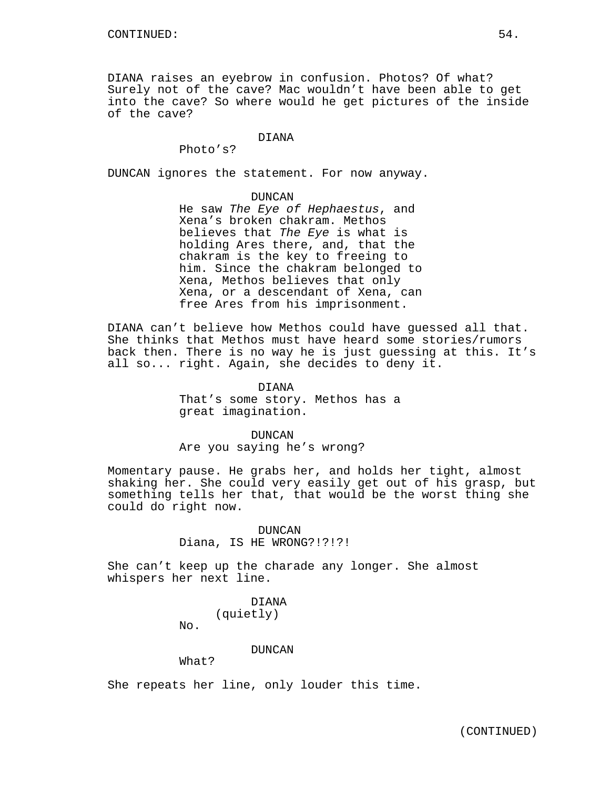DIANA raises an eyebrow in confusion. Photos? Of what? Surely not of the cave? Mac wouldn't have been able to get into the cave? So where would he get pictures of the inside of the cave?

# DIANA

Photo's?

DUNCAN ignores the statement. For now anyway.

#### DUNCAN

He saw The Eye of Hephaestus, and Xena's broken chakram. Methos believes that The Eye is what is holding Ares there, and, that the chakram is the key to freeing to him. Since the chakram belonged to Xena, Methos believes that only Xena, or a descendant of Xena, can free Ares from his imprisonment.

DIANA can't believe how Methos could have guessed all that. She thinks that Methos must have heard some stories/rumors back then. There is no way he is just guessing at this. It's all so... right. Again, she decides to deny it.

# DIANA That's some story. Methos has a great imagination.

## DUNCAN

Are you saying he's wrong?

Momentary pause. He grabs her, and holds her tight, almost shaking her. She could very easily get out of his grasp, but something tells her that, that would be the worst thing she could do right now.

## DUNCAN Diana, IS HE WRONG?!?!?!

She can't keep up the charade any longer. She almost whispers her next line.

# DIANA

(quietly)

No.

## DUNCAN

What?

She repeats her line, only louder this time.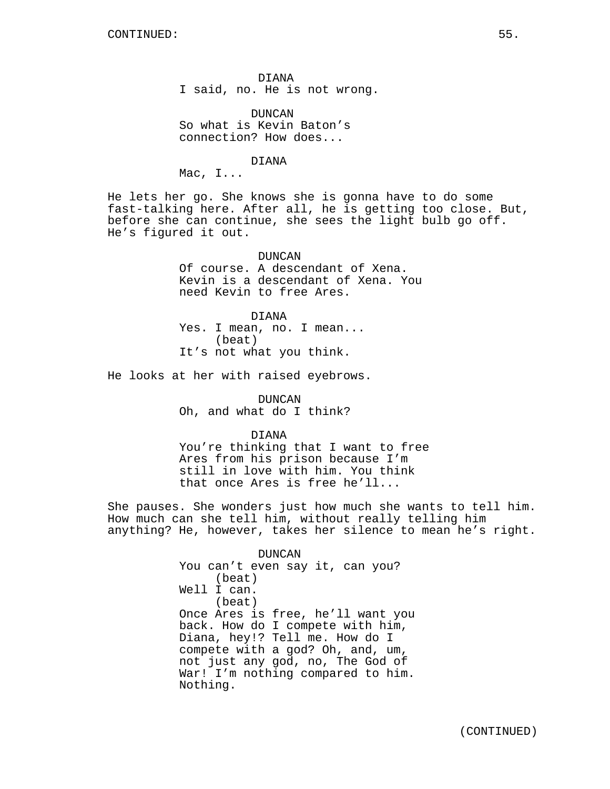DIANA I said, no. He is not wrong.

DUNCAN So what is Kevin Baton's connection? How does...

DIANA

Mac, I...

He lets her go. She knows she is gonna have to do some fast-talking here. After all, he is getting too close. But, before she can continue, she sees the light bulb go off. He's figured it out.

> DUNCAN Of course. A descendant of Xena. Kevin is a descendant of Xena. You need Kevin to free Ares.

DIANA Yes. I mean, no. I mean... (beat) It's not what you think.

He looks at her with raised eyebrows.

DUNCAN Oh, and what do I think?

DIANA

You're thinking that I want to free Ares from his prison because I'm still in love with him. You think that once Ares is free he'll...

She pauses. She wonders just how much she wants to tell him. How much can she tell him, without really telling him anything? He, however, takes her silence to mean he's right.

> DUNCAN You can't even say it, can you? (beat) Well I can. (beat) Once Ares is free, he'll want you back. How do I compete with him, Diana, hey!? Tell me. How do I compete with a god? Oh, and, um, not just any god, no, The God of War! I'm nothing compared to him. Nothing.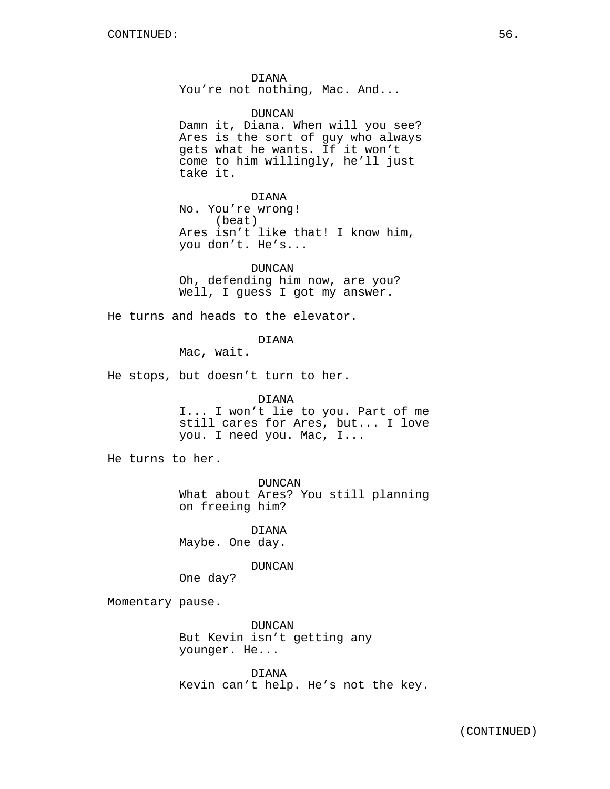DIANA You're not nothing, Mac. And...

DUNCAN Damn it, Diana. When will you see? Ares is the sort of guy who always gets what he wants. If it won't come to him willingly, he'll just take it.

DIANA No. You're wrong! (beat) Ares isn't like that! I know him, you don't. He's...

DUNCAN Oh, defending him now, are you? Well, I guess I got my answer.

He turns and heads to the elevator.

DIANA

Mac, wait.

He stops, but doesn't turn to her.

DIANA

I... I won't lie to you. Part of me still cares for Ares, but... I love you. I need you. Mac, I...

He turns to her.

DUNCAN What about Ares? You still planning on freeing him?

DIANA Maybe. One day.

DUNCAN

One day?

Momentary pause.

DUNCAN But Kevin isn't getting any younger. He...

DIANA Kevin can't help. He's not the key.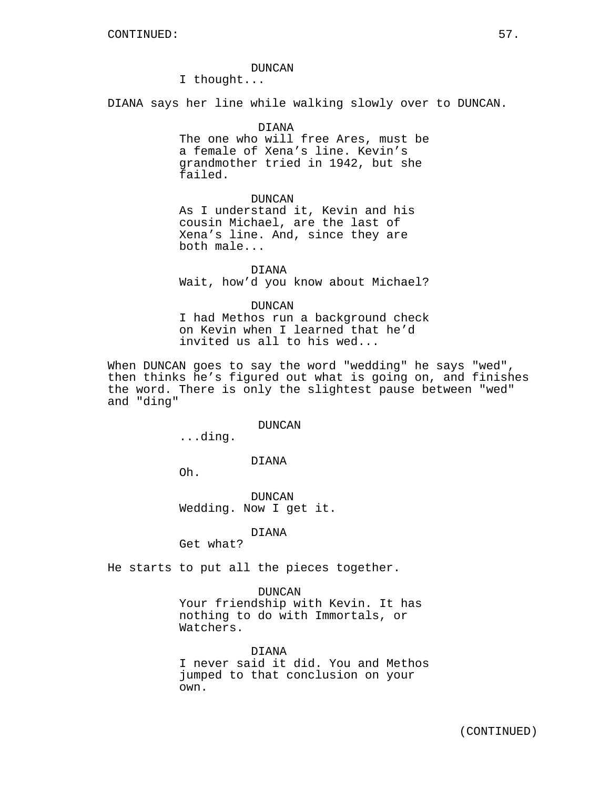#### DUNCAN

I thought...

DIANA says her line while walking slowly over to DUNCAN.

## DIANA

The one who will free Ares, must be a female of Xena's line. Kevin's grandmother tried in 1942, but she failed.

#### DUNCAN

As I understand it, Kevin and his cousin Michael, are the last of Xena's line. And, since they are both male...

DIANA Wait, how'd you know about Michael?

#### DUNCAN

I had Methos run a background check on Kevin when I learned that he'd invited us all to his wed...

When DUNCAN goes to say the word "wedding" he says "wed", then thinks he's figured out what is going on, and finishes the word. There is only the slightest pause between "wed" and "ding"

#### DUNCAN

...ding.

## DIANA

Oh.

DUNCAN Wedding. Now I get it.

#### DIANA

Get what?

He starts to put all the pieces together.

#### DUNCAN

Your friendship with Kevin. It has nothing to do with Immortals, or Watchers.

## DIANA

I never said it did. You and Methos jumped to that conclusion on your own.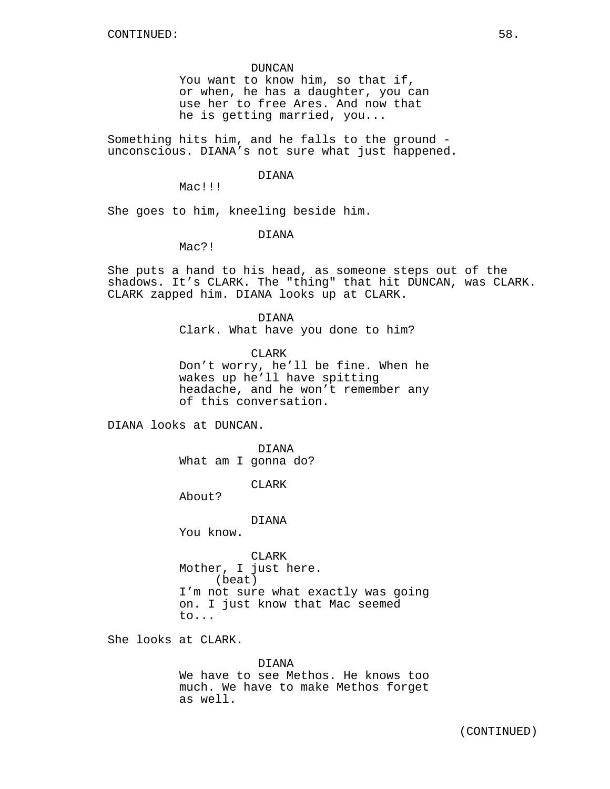#### DUNCAN

You want to know him, so that if, or when, he has a daughter, you can use her to free Ares. And now that he is getting married, you...

Something hits him, and he falls to the ground unconscious. DIANA's not sure what just happened.

## DIANA

Mac!!!

She goes to him, kneeling beside him.

#### DIANA

Mac?!

She puts a hand to his head, as someone steps out of the shadows. It's CLARK. The "thing" that hit DUNCAN, was CLARK. CLARK zapped him. DIANA looks up at CLARK.

> DIANA Clark. What have you done to him?

CLARK Don't worry, he'll be fine. When he wakes up he'll have spitting headache, and he won't remember any of this conversation.

DIANA looks at DUNCAN.

DIANA What am I gonna do?

CLARK

About?

DIANA

You know.

CLARK Mother, I just here. (beat) I'm not sure what exactly was going on. I just know that Mac seemed to...

She looks at CLARK.

#### DIANA

We have to see Methos. He knows too much. We have to make Methos forget as well.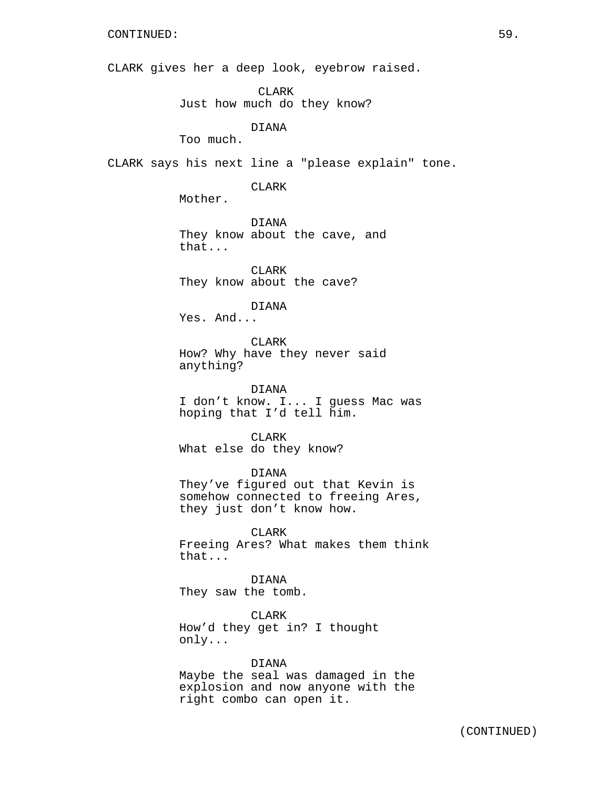CLARK gives her a deep look, eyebrow raised.

CLARK

Just how much do they know?

DIANA

Too much.

CLARK says his next line a "please explain" tone.

CLARK

Mother.

DIANA They know about the cave, and that...

CLARK They know about the cave?

DIANA

Yes. And...

CLARK How? Why have they never said anything?

DIANA I don't know. I... I guess Mac was hoping that I'd tell him.

CLARK What else do they know?

DIANA

They've figured out that Kevin is somehow connected to freeing Ares, they just don't know how.

CLARK Freeing Ares? What makes them think that...

DIANA They saw the tomb.

CLARK How'd they get in? I thought only...

DIANA

Maybe the seal was damaged in the explosion and now anyone with the right combo can open it.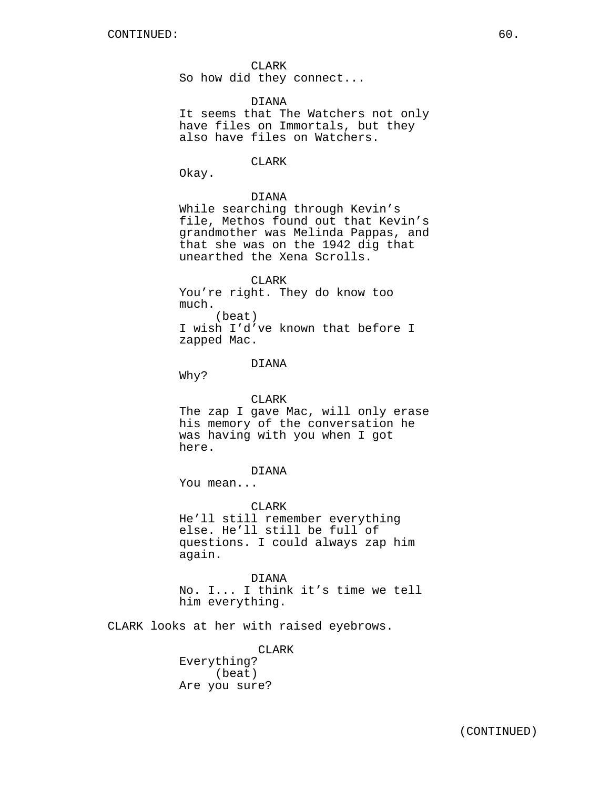CLARK So how did they connect...

DIANA It seems that The Watchers not only have files on Immortals, but they also have files on Watchers.

#### **CLARK**

Okay.

## DIANA

While searching through Kevin's file, Methos found out that Kevin's grandmother was Melinda Pappas, and that she was on the 1942 dig that unearthed the Xena Scrolls.

CLARK You're right. They do know too much. (beat) I wish I'd've known that before I zapped Mac.

## DIANA

Why?

#### CLARK

The zap I gave Mac, will only erase his memory of the conversation he was having with you when I got here.

## DIANA

You mean...

#### CLARK

He'll still remember everything else. He'll still be full of questions. I could always zap him again.

DIANA No. I... I think it's time we tell him everything.

CLARK looks at her with raised eyebrows.

CLARK Everything? (beat) Are you sure?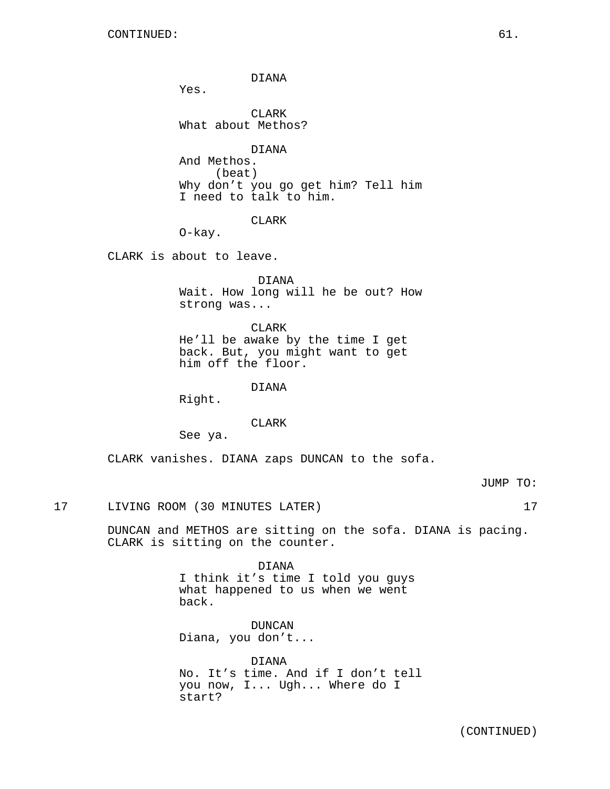DIANA

Yes.

CLARK What about Methos?

DIANA And Methos. (beat) Why don't you go get him? Tell him I need to talk to him.

CLARK

O-kay.

CLARK is about to leave.

DIANA Wait. How long will he be out? How strong was...

CLARK He'll be awake by the time I get back. But, you might want to get him off the floor.

DIANA

Right.

CLARK

See ya.

CLARK vanishes. DIANA zaps DUNCAN to the sofa.

JUMP TO:

17 LIVING ROOM (30 MINUTES LATER) 17

DUNCAN and METHOS are sitting on the sofa. DIANA is pacing. CLARK is sitting on the counter.

> DIANA I think it's time I told you guys what happened to us when we went back.

DUNCAN Diana, you don't...

DIANA No. It's time. And if I don't tell you now, I... Ugh... Where do I start?

(CONTINUED)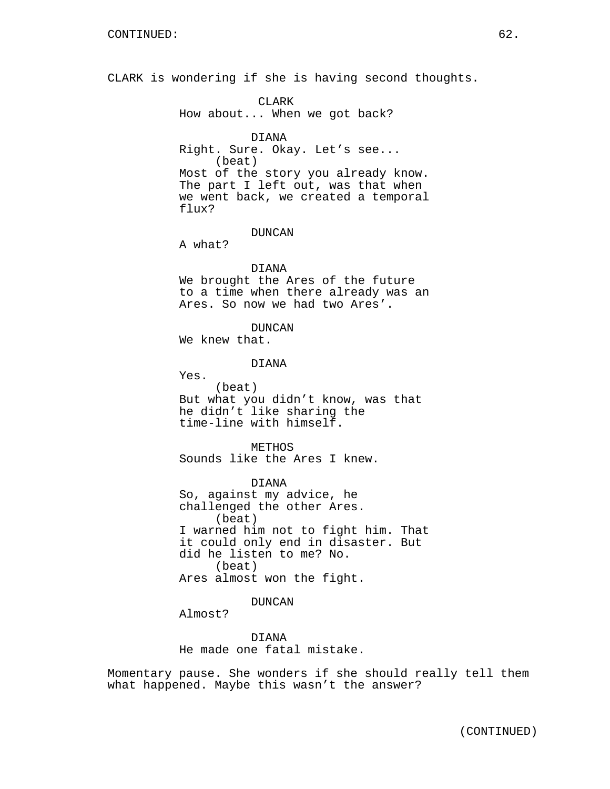CLARK is wondering if she is having second thoughts.

CLARK How about... When we got back?

DIANA Right. Sure. Okay. Let's see... (beat) Most of the story you already know. The part I left out, was that when we went back, we created a temporal flux?

DUNCAN

A what?

Yes.

## DIANA

We brought the Ares of the future to a time when there already was an Ares. So now we had two Ares'.

DUNCAN

We knew that.

DIANA

(beat) But what you didn't know, was that he didn't like sharing the time-line with himself.

METHOS Sounds like the Ares I knew.

DIANA So, against my advice, he challenged the other Ares. (beat) I warned him not to fight him. That it could only end in disaster. But did he listen to me? No. (beat) Ares almost won the fight.

## DUNCAN

Almost?

DIANA He made one fatal mistake.

Momentary pause. She wonders if she should really tell them what happened. Maybe this wasn't the answer?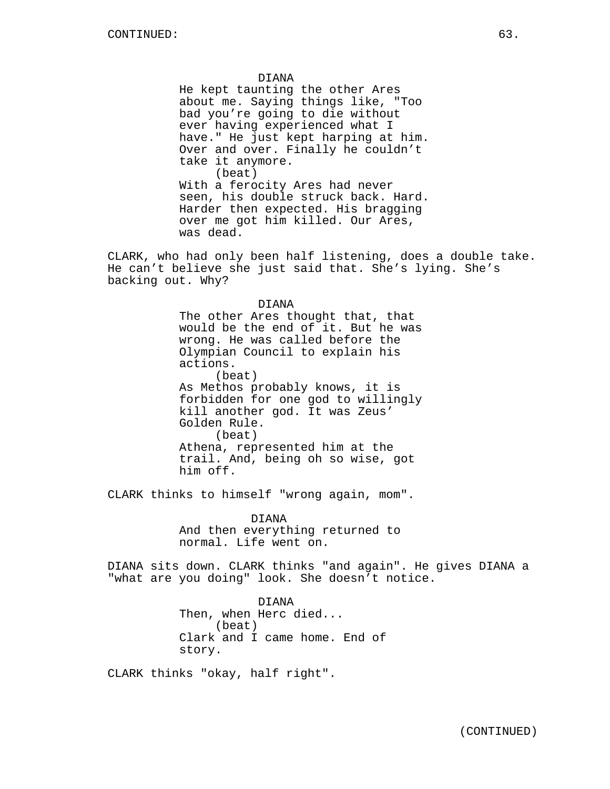DIANA

He kept taunting the other Ares about me. Saying things like, "Too bad you're going to die without ever having experienced what I have." He just kept harping at him. Over and over. Finally he couldn't take it anymore. (beat) With a ferocity Ares had never seen, his double struck back. Hard. Harder then expected. His bragging over me got him killed. Our Ares, was dead.

CLARK, who had only been half listening, does a double take. He can't believe she just said that. She's lying. She's backing out. Why?

#### DIANA

The other Ares thought that, that would be the end of it. But he was wrong. He was called before the Olympian Council to explain his actions. (beat) As Methos probably knows, it is forbidden for one god to willingly kill another god. It was Zeus' Golden Rule. (beat) Athena, represented him at the trail. And, being oh so wise, got him off.

CLARK thinks to himself "wrong again, mom".

DIANA And then everything returned to normal. Life went on.

DIANA sits down. CLARK thinks "and again". He gives DIANA a "what are you doing" look. She doesn't notice.

> DIANA Then, when Herc died... (beat) Clark and I came home. End of story.

CLARK thinks "okay, half right".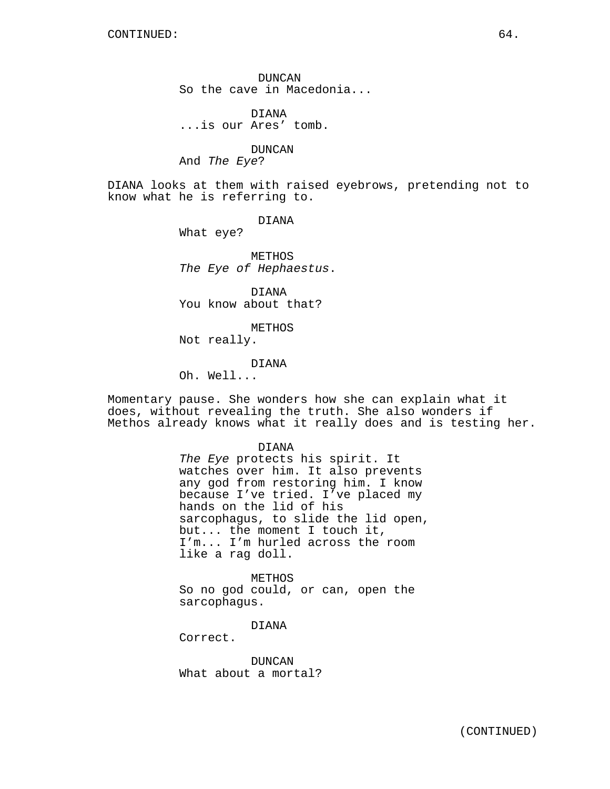DUNCAN So the cave in Macedonia...

DIANA ...is our Ares' tomb.

DUNCAN

And The Eye?

DIANA looks at them with raised eyebrows, pretending not to know what he is referring to.

DIANA

What eye?

METHOS The Eye of Hephaestus.

DIANA You know about that?

METHOS Not really.

## DIANA

Oh. Well...

Momentary pause. She wonders how she can explain what it does, without revealing the truth. She also wonders if Methos already knows what it really does and is testing her.

> DIANA The Eye protects his spirit. It watches over him. It also prevents any god from restoring him. I know because I've tried. I've placed my hands on the lid of his sarcophagus, to slide the lid open, but... the moment I touch it, I'm... I'm hurled across the room like a rag doll.

METHOS So no god could, or can, open the sarcophagus.

DIANA

Correct.

DUNCAN What about a mortal?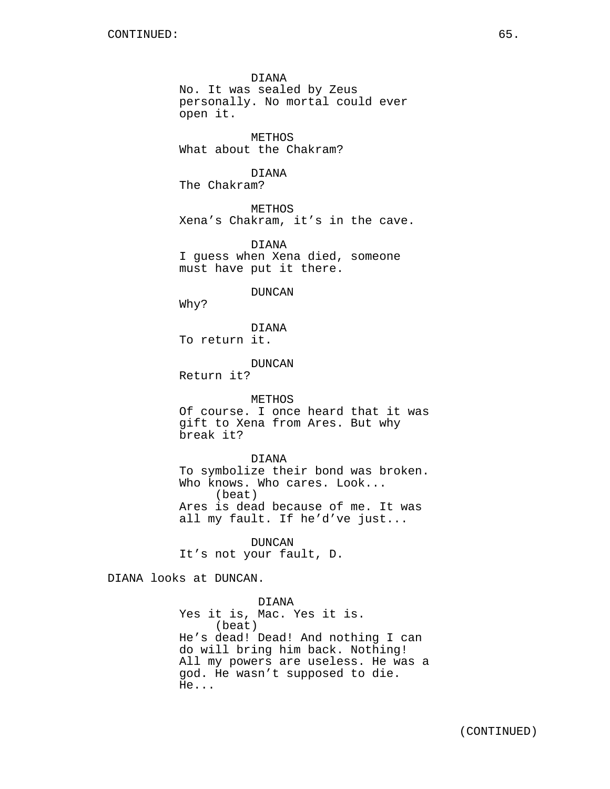DIANA No. It was sealed by Zeus personally. No mortal could ever open it.

METHOS What about the Chakram?

DIANA The Chakram?

METHOS Xena's Chakram, it's in the cave.

DIANA I guess when Xena died, someone must have put it there.

DUNCAN

Why?

DIANA To return it.

DUNCAN

Return it?

#### METHOS

Of course. I once heard that it was gift to Xena from Ares. But why break it?

#### DIANA

To symbolize their bond was broken. Who knows. Who cares. Look... (beat) Ares is dead because of me. It was all my fault. If he'd've just...

DUNCAN It's not your fault, D.

DIANA looks at DUNCAN.

DIANA Yes it is, Mac. Yes it is. (beat) He's dead! Dead! And nothing I can do will bring him back. Nothing! All my powers are useless. He was a god. He wasn't supposed to die. He...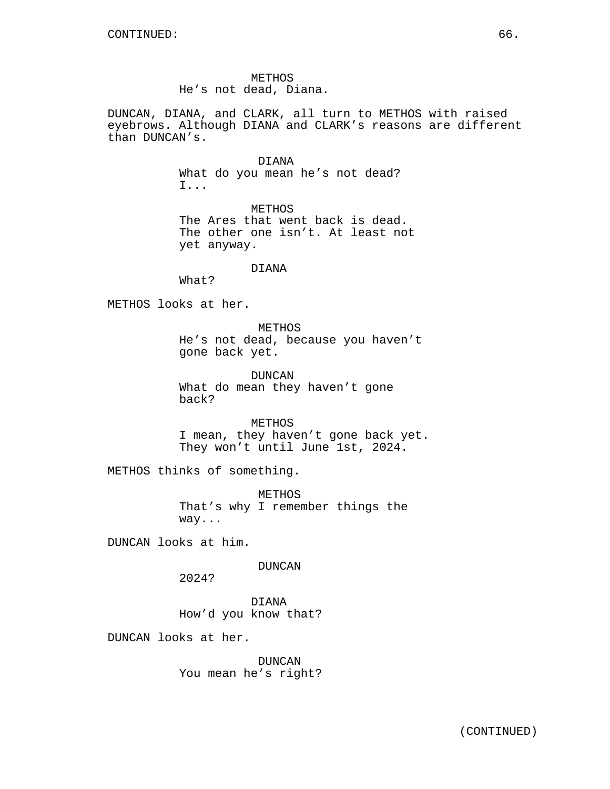METHOS He's not dead, Diana.

DUNCAN, DIANA, and CLARK, all turn to METHOS with raised eyebrows. Although DIANA and CLARK's reasons are different than DUNCAN's.

> DIANA What do you mean he's not dead? I...

METHOS The Ares that went back is dead. The other one isn't. At least not yet anyway.

### DIANA

What?

METHOS looks at her.

METHOS He's not dead, because you haven't gone back yet.

DUNCAN What do mean they haven't gone back?

METHOS I mean, they haven't gone back yet. They won't until June 1st, 2024.

METHOS thinks of something.

METHOS That's why I remember things the way...

DUNCAN looks at him.

DUNCAN

2024?

DIANA How'd you know that?

DUNCAN looks at her.

DUNCAN You mean he's right?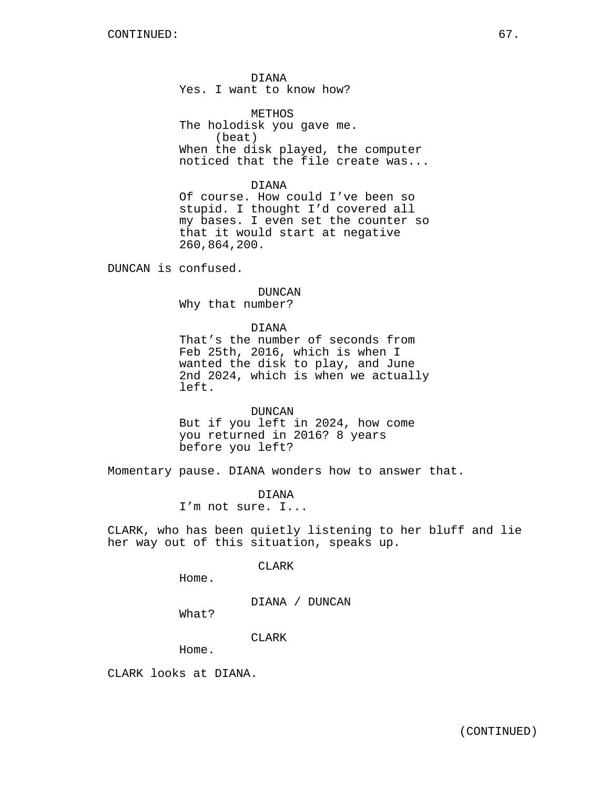DIANA Yes. I want to know how?

METHOS The holodisk you gave me. (beat) When the disk played, the computer noticed that the file create was...

DIANA Of course. How could I've been so

stupid. I thought I'd covered all my bases. I even set the counter so that it would start at negative 260,864,200.

DUNCAN is confused.

#### DUNCAN

Why that number?

DIANA

That's the number of seconds from Feb 25th, 2016, which is when I wanted the disk to play, and June 2nd 2024, which is when we actually left.

DUNCAN

But if you left in 2024, how come you returned in 2016? 8 years before you left?

Momentary pause. DIANA wonders how to answer that.

DIANA I'm not sure. I...

CLARK, who has been quietly listening to her bluff and lie her way out of this situation, speaks up.

## CLARK

Home.

DIANA / DUNCAN

What?

CLARK

Home.

CLARK looks at DIANA.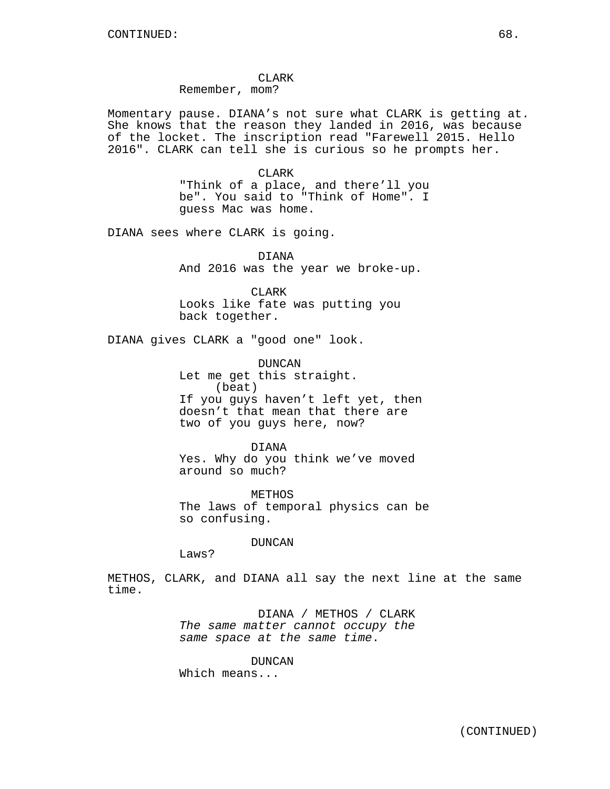CLARK Remember, mom?

Momentary pause. DIANA's not sure what CLARK is getting at. She knows that the reason they landed in 2016, was because of the locket. The inscription read "Farewell 2015. Hello 2016". CLARK can tell she is curious so he prompts her.

> CLARK "Think of a place, and there'll you be". You said to "Think of Home". I guess Mac was home.

DIANA sees where CLARK is going.

DIANA And 2016 was the year we broke-up.

CLARK Looks like fate was putting you back together.

DIANA gives CLARK a "good one" look.

DUNCAN Let me get this straight. (beat) If you guys haven't left yet, then doesn't that mean that there are two of you guys here, now?

DIANA Yes. Why do you think we've moved around so much?

METHOS The laws of temporal physics can be so confusing.

DUNCAN

Laws?

METHOS, CLARK, and DIANA all say the next line at the same time.

> DIANA / METHOS / CLARK The same matter cannot occupy the same space at the same time.

DUNCAN Which means...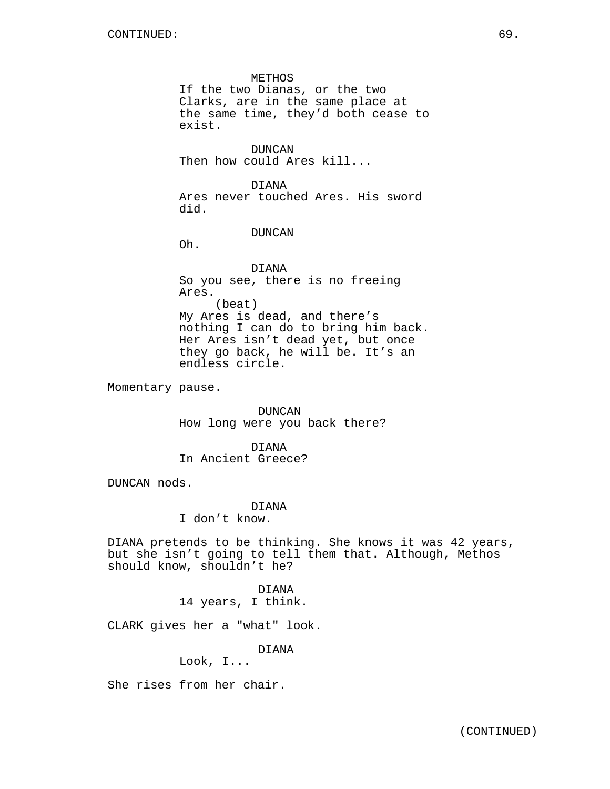METHOS If the two Dianas, or the two Clarks, are in the same place at the same time, they'd both cease to exist.

DUNCAN Then how could Ares kill...

DIANA Ares never touched Ares. His sword did.

DUNCAN

Oh.

DIANA So you see, there is no freeing Ares. (beat) My Ares is dead, and there's nothing I can do to bring him back. Her Ares isn't dead yet, but once they go back, he will be. It's an endless circle.

Momentary pause.

DUNCAN How long were you back there?

DIANA In Ancient Greece?

DUNCAN nods.

DIANA

I don't know.

DIANA pretends to be thinking. She knows it was 42 years, but she isn't going to tell them that. Although, Methos should know, shouldn't he?

> DIANA 14 years, I think.

CLARK gives her a "what" look.

DIANA

Look, I...

She rises from her chair.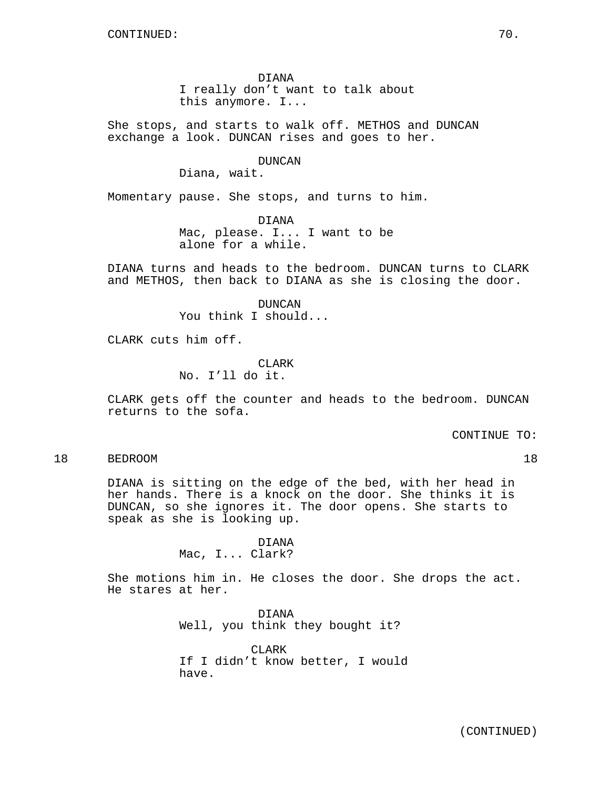DIANA I really don't want to talk about this anymore. I...

She stops, and starts to walk off. METHOS and DUNCAN exchange a look. DUNCAN rises and goes to her.

DUNCAN

Diana, wait.

Momentary pause. She stops, and turns to him.

DIANA Mac, please. I... I want to be alone for a while.

DIANA turns and heads to the bedroom. DUNCAN turns to CLARK and METHOS, then back to DIANA as she is closing the door.

> DUNCAN You think I should...

CLARK cuts him off.

**CLARK** No. I'll do it.

CLARK gets off the counter and heads to the bedroom. DUNCAN returns to the sofa.

CONTINUE TO:

18 BEDROOM 18

DIANA is sitting on the edge of the bed, with her head in her hands. There is a knock on the door. She thinks it is DUNCAN, so she ignores it. The door opens. She starts to speak as she is looking up.

> DIANA Mac, I... Clark?

She motions him in. He closes the door. She drops the act. He stares at her.

> DIANA Well, you think they bought it?

CLARK If I didn't know better, I would have.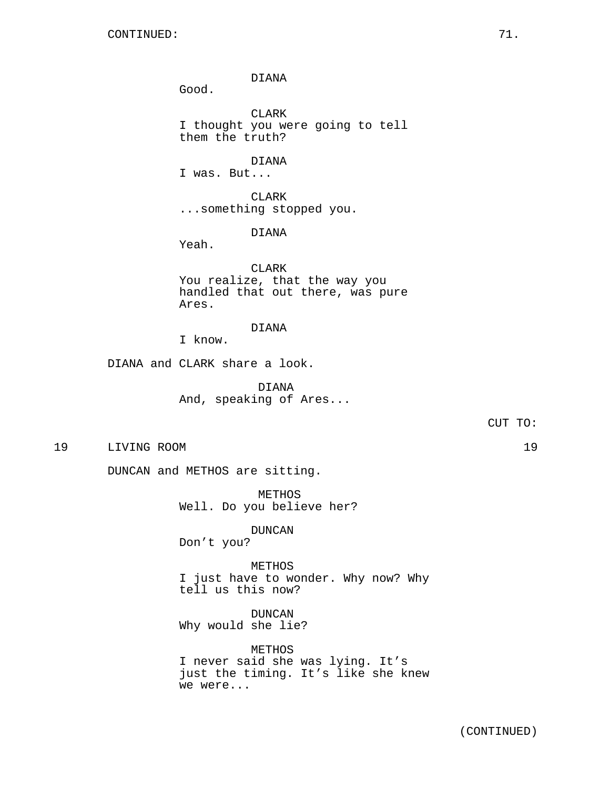DIANA

Good.

CLARK I thought you were going to tell them the truth?

DIANA I was. But...

CLARK ...something stopped you.

DIANA

Yeah.

CLARK You realize, that the way you handled that out there, was pure Ares.

DIANA

I know.

DIANA and CLARK share a look.

DIANA And, speaking of Ares...

CUT TO:

19 LIVING ROOM 19

DUNCAN and METHOS are sitting.

METHOS Well. Do you believe her?

DUNCAN

Don't you?

METHOS I just have to wonder. Why now? Why tell us this now?

DUNCAN Why would she lie?

METHOS I never said she was lying. It's just the timing. It's like she knew we were...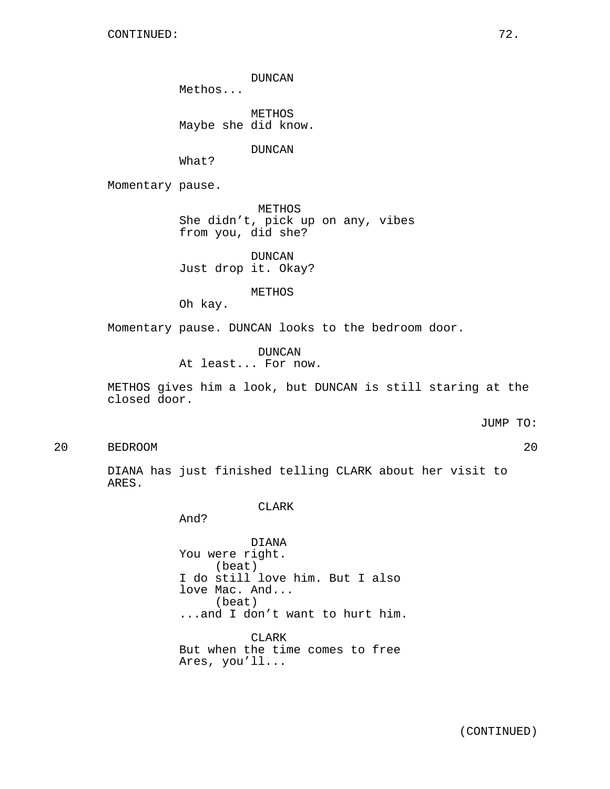DUNCAN

Methos...

METHOS Maybe she did know.

DUNCAN

What?

Momentary pause.

METHOS She didn't, pick up on any, vibes from you, did she?

DUNCAN Just drop it. Okay?

METHOS

Oh kay.

Momentary pause. DUNCAN looks to the bedroom door.

DUNCAN At least... For now.

METHOS gives him a look, but DUNCAN is still staring at the closed door.

JUMP TO:

20 BEDROOM 20

DIANA has just finished telling CLARK about her visit to ARES.

### CLARK

And?

DIANA You were right. (beat) I do still love him. But I also love Mac. And... (beat) ...and I don't want to hurt him.

CLARK But when the time comes to free Ares, you'll...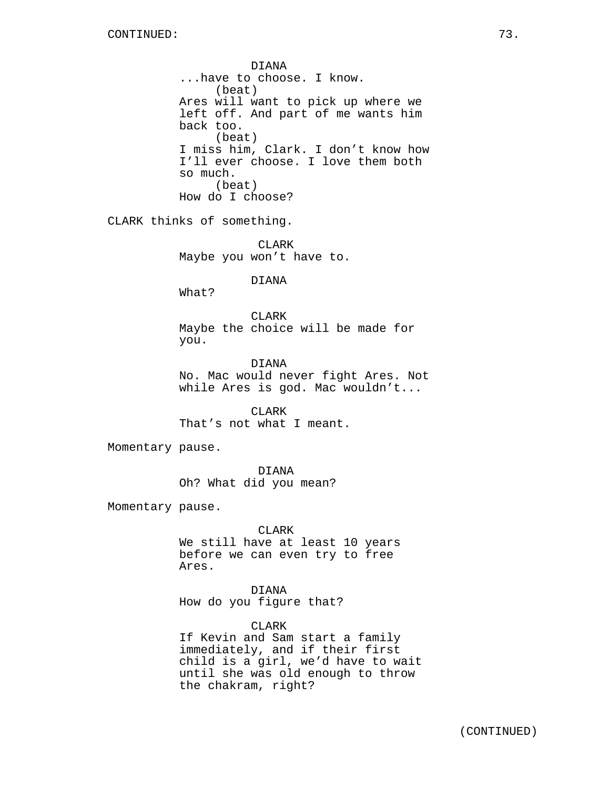DIANA ...have to choose. I know. (beat) Ares will want to pick up where we left off. And part of me wants him back too. (beat) I miss him, Clark. I don't know how I'll ever choose. I love them both so much. (beat) How do I choose?

CLARK thinks of something.

CLARK Maybe you won't have to.

DIANA

What?

CLARK Maybe the choice will be made for you.

DIANA No. Mac would never fight Ares. Not while Ares is god. Mac wouldn't...

CLARK That's not what I meant.

Momentary pause.

DIANA Oh? What did you mean?

Momentary pause.

### CLARK

We still have at least 10 years before we can even try to free Ares.

DIANA How do you figure that?

CLARK

If Kevin and Sam start a family immediately, and if their first child is a girl, we'd have to wait until she was old enough to throw the chakram, right?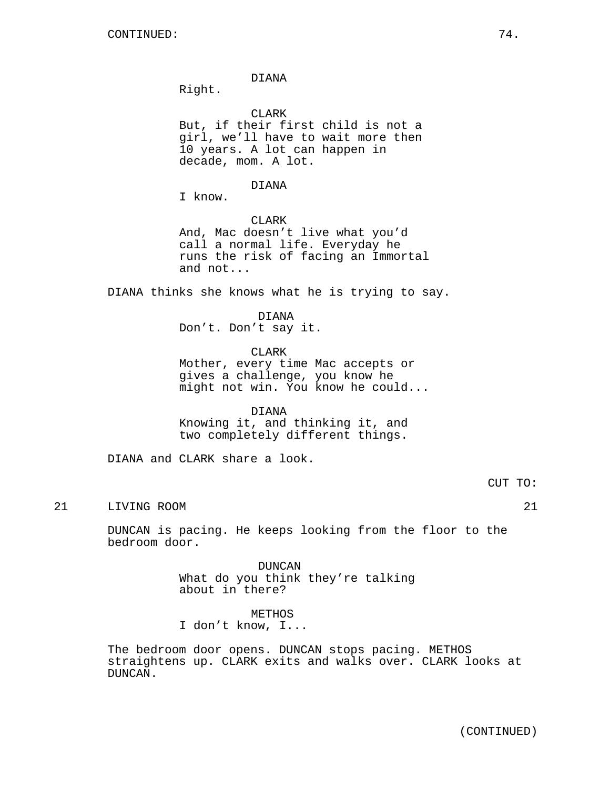DIANA

Right.

**CLARK** But, if their first child is not a girl, we'll have to wait more then 10 years. A lot can happen in decade, mom. A lot.

## DIANA

I know.

CLARK And, Mac doesn't live what you'd call a normal life. Everyday he runs the risk of facing an Immortal and not...

DIANA thinks she knows what he is trying to say.

### DIANA

Don't. Don't say it.

### CLARK

Mother, every time Mac accepts or gives a challenge, you know he might not win. You know he could...

#### DIANA

Knowing it, and thinking it, and two completely different things.

DIANA and CLARK share a look.

# CUT TO:

21 LIVING ROOM 21

DUNCAN is pacing. He keeps looking from the floor to the bedroom door.

> DUNCAN What do you think they're talking about in there?

METHOS I don't know, I...

The bedroom door opens. DUNCAN stops pacing. METHOS straightens up. CLARK exits and walks over. CLARK looks at DUNCAN.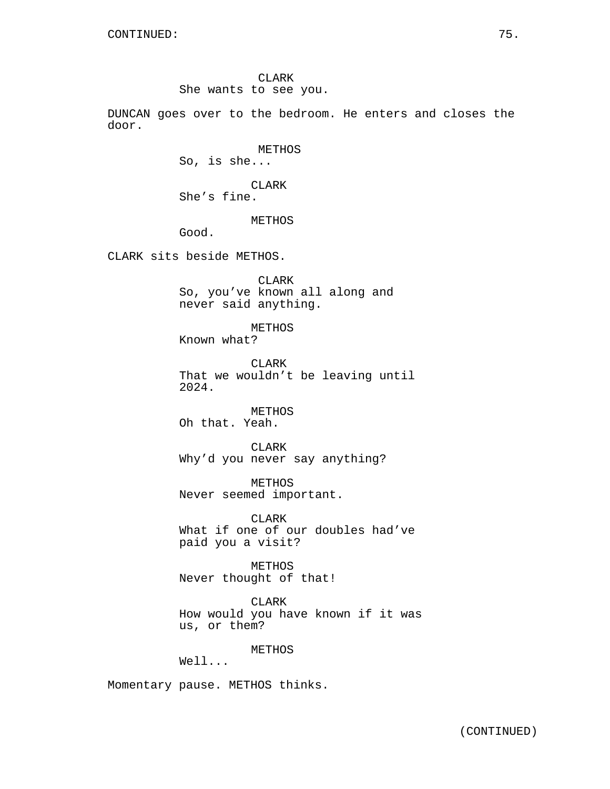CLARK She wants to see you.

DUNCAN goes over to the bedroom. He enters and closes the door.

> METHOS So, is she...

CLARK She's fine.

# METHOS

Good.

CLARK sits beside METHOS.

CLARK So, you've known all along and never said anything.

## METHOS

Known what?

CLARK That we wouldn't be leaving until 2024.

METHOS Oh that. Yeah.

CLARK Why'd you never say anything?

METHOS Never seemed important.

CLARK What if one of our doubles had've paid you a visit?

METHOS Never thought of that!

CLARK How would you have known if it was us, or them?

## METHOS

Well...

Momentary pause. METHOS thinks.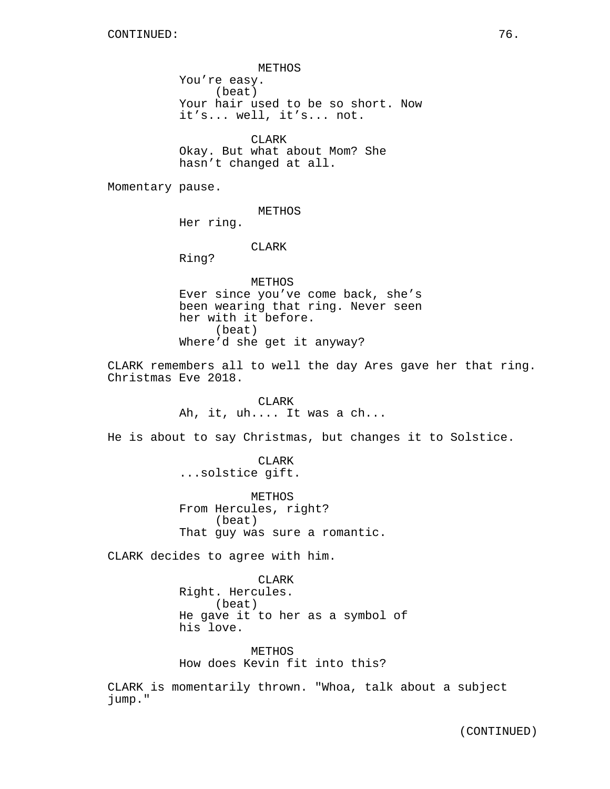METHOS You're easy. (beat) Your hair used to be so short. Now it's... well, it's... not.

CLARK Okay. But what about Mom? She hasn't changed at all.

Momentary pause.

METHOS

Her ring.

CLARK

Ring?

METHOS Ever since you've come back, she's been wearing that ring. Never seen her with it before. (beat) Where'd she get it anyway?

CLARK remembers all to well the day Ares gave her that ring. Christmas Eve 2018.

> CLARK Ah, it, uh.... It was a ch...

He is about to say Christmas, but changes it to Solstice.

CLARK ...solstice gift.

METHOS From Hercules, right? (beat) That guy was sure a romantic.

CLARK decides to agree with him.

CLARK Right. Hercules. (beat) He gave it to her as a symbol of his love.

METHOS How does Kevin fit into this?

CLARK is momentarily thrown. "Whoa, talk about a subject jump."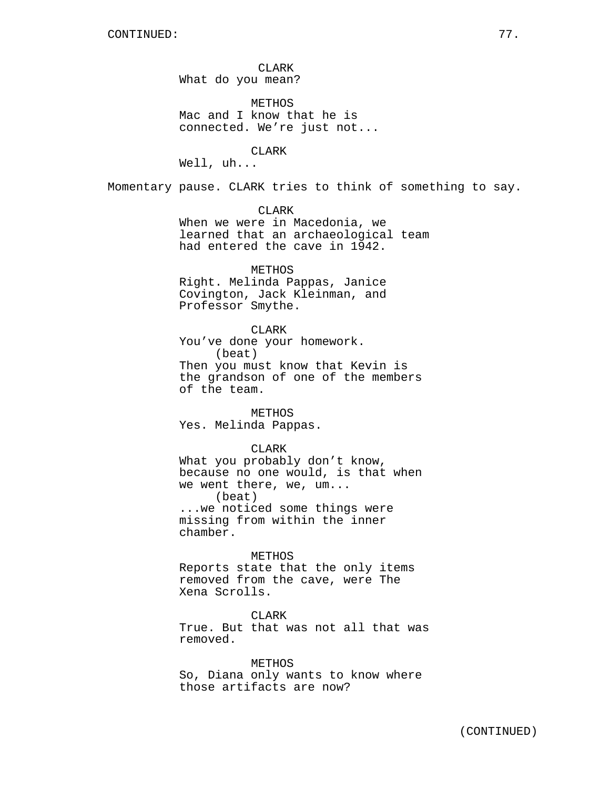CLARK What do you mean?

METHOS Mac and I know that he is connected. We're just not...

#### CLARK

Well, uh...

Momentary pause. CLARK tries to think of something to say.

CLARK

When we were in Macedonia, we learned that an archaeological team had entered the cave in 1942.

### METHOS

Right. Melinda Pappas, Janice Covington, Jack Kleinman, and Professor Smythe.

#### CLARK

You've done your homework. (beat) Then you must know that Kevin is the grandson of one of the members of the team.

**METHOS** Yes. Melinda Pappas.

## CLARK

What you probably don't know, because no one would, is that when we went there, we, um... (beat) ...we noticed some things were missing from within the inner chamber.

#### METHOS

Reports state that the only items removed from the cave, were The Xena Scrolls.

**CLARK** 

True. But that was not all that was removed.

### METHOS

So, Diana only wants to know where those artifacts are now?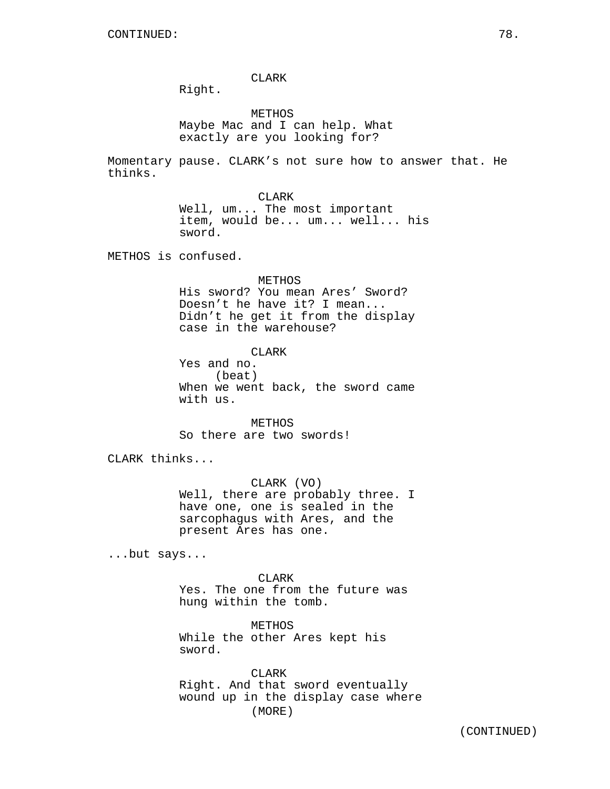CLARK

Right.

METHOS Maybe Mac and I can help. What exactly are you looking for?

Momentary pause. CLARK's not sure how to answer that. He thinks.

CLARK

Well, um... The most important item, would be... um... well... his sword.

METHOS is confused.

METHOS

His sword? You mean Ares' Sword? Doesn't he have it? I mean... Didn't he get it from the display case in the warehouse?

CLARK

Yes and no. (beat) When we went back, the sword came with us.

METHOS So there are two swords!

CLARK thinks...

CLARK (VO) Well, there are probably three. I have one, one is sealed in the sarcophagus with Ares, and the present Ares has one.

...but says...

CLARK Yes. The one from the future was hung within the tomb.

METHOS While the other Ares kept his sword.

CLARK Right. And that sword eventually wound up in the display case where (MORE)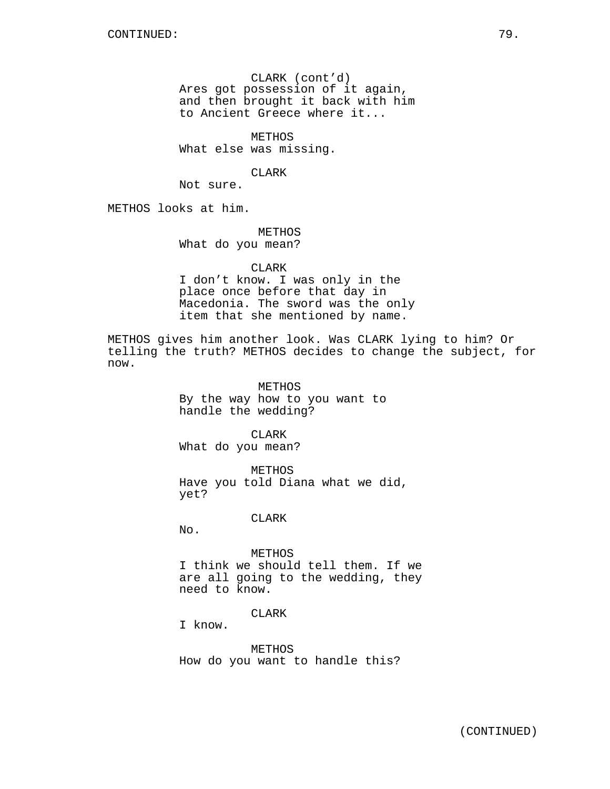CLARK (cont'd) Ares got possession of it again, and then brought it back with him to Ancient Greece where it...

METHOS What else was missing.

CLARK

Not sure.

METHOS looks at him.

METHOS What do you mean?

## CLARK

I don't know. I was only in the place once before that day in Macedonia. The sword was the only item that she mentioned by name.

METHOS gives him another look. Was CLARK lying to him? Or telling the truth? METHOS decides to change the subject, for now.

> METHOS By the way how to you want to handle the wedding?

CLARK What do you mean?

METHOS Have you told Diana what we did, yet?

### CLARK

No.

METHOS I think we should tell them. If we are all going to the wedding, they need to know.

**CLARK** 

I know.

METHOS How do you want to handle this?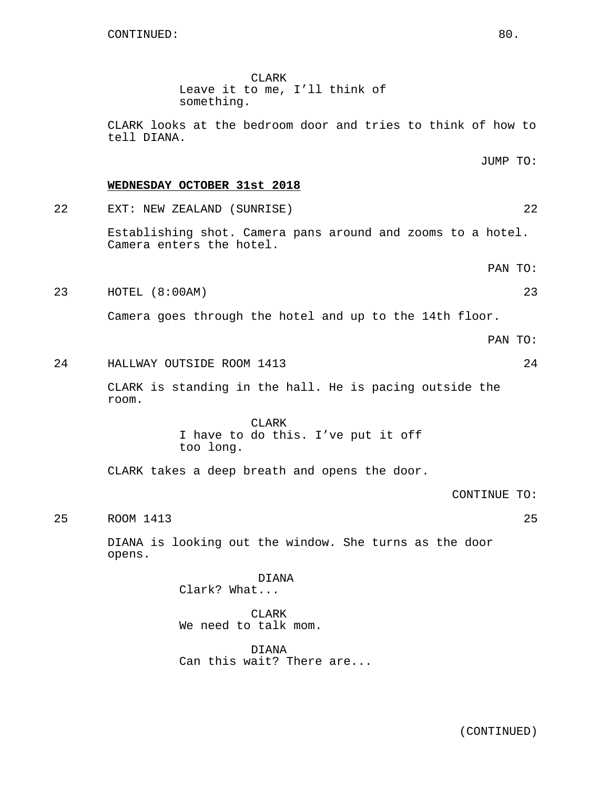CLARK Leave it to me, I'll think of something.

CLARK looks at the bedroom door and tries to think of how to tell DIANA.

## **WEDNESDAY OCTOBER 31st 2018**

22 EXT: NEW ZEALAND (SUNRISE) 22

Establishing shot. Camera pans around and zooms to a hotel. Camera enters the hotel.

PAN TO:

JUMP TO:

23 HOTEL (8:00AM) 23

Camera goes through the hotel and up to the 14th floor.

PAN TO:

24 HALLWAY OUTSIDE ROOM 1413 24

CLARK is standing in the hall. He is pacing outside the room.

> CLARK I have to do this. I've put it off too long.

CLARK takes a deep breath and opens the door.

CONTINUE TO:

25 ROOM 1413 25

DIANA is looking out the window. She turns as the door opens.

> DIANA Clark? What...

CLARK We need to talk mom.

DIANA Can this wait? There are...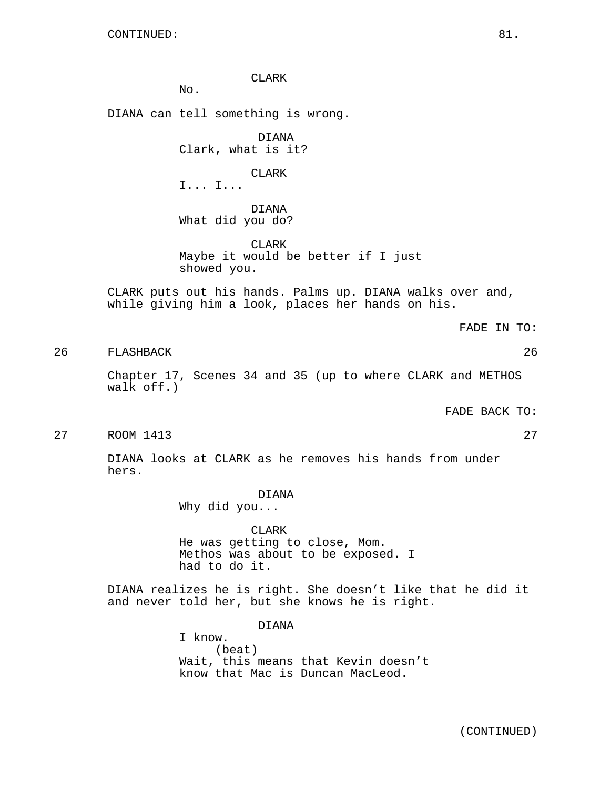CLARK No. DIANA can tell something is wrong. DIANA Clark, what is it? CLARK I... I... DIANA What did you do? CLARK Maybe it would be better if I just showed you. CLARK puts out his hands. Palms up. DIANA walks over and, while giving him a look, places her hands on his. FADE IN TO: 26 FLASHBACK 26 Chapter 17, Scenes 34 and 35 (up to where CLARK and METHOS walk off.) FADE BACK TO: 27 ROOM 1413 27 DIANA looks at CLARK as he removes his hands from under hers. DIANA Why did you... CLARK He was getting to close, Mom. Methos was about to be exposed. I had to do it.

DIANA realizes he is right. She doesn't like that he did it and never told her, but she knows he is right.

> DIANA I know. (beat) Wait, this means that Kevin doesn't know that Mac is Duncan MacLeod.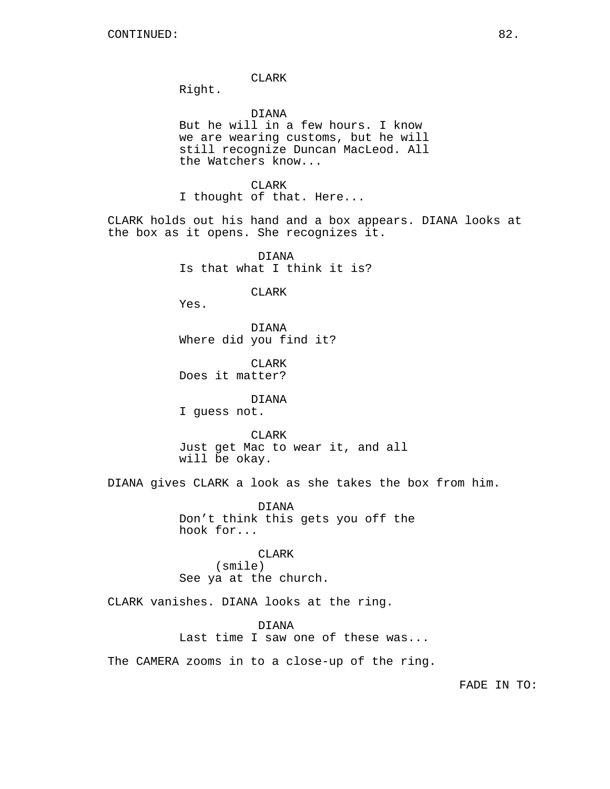CLARK

Right.

DIANA

But he will in a few hours. I know we are wearing customs, but he will still recognize Duncan MacLeod. All the Watchers know...

CLARK

I thought of that. Here...

CLARK holds out his hand and a box appears. DIANA looks at the box as it opens. She recognizes it.

> DIANA Is that what I think it is?

> > CLARK

Yes.

DIANA Where did you find it?

CLARK Does it matter?

DIANA

I guess not.

CLARK Just get Mac to wear it, and all will be okay.

DIANA gives CLARK a look as she takes the box from him.

DIANA Don't think this gets you off the hook for...

CLARK (smile) See ya at the church.

CLARK vanishes. DIANA looks at the ring.

DIANA Last time I saw one of these was...

The CAMERA zooms in to a close-up of the ring.

FADE IN TO: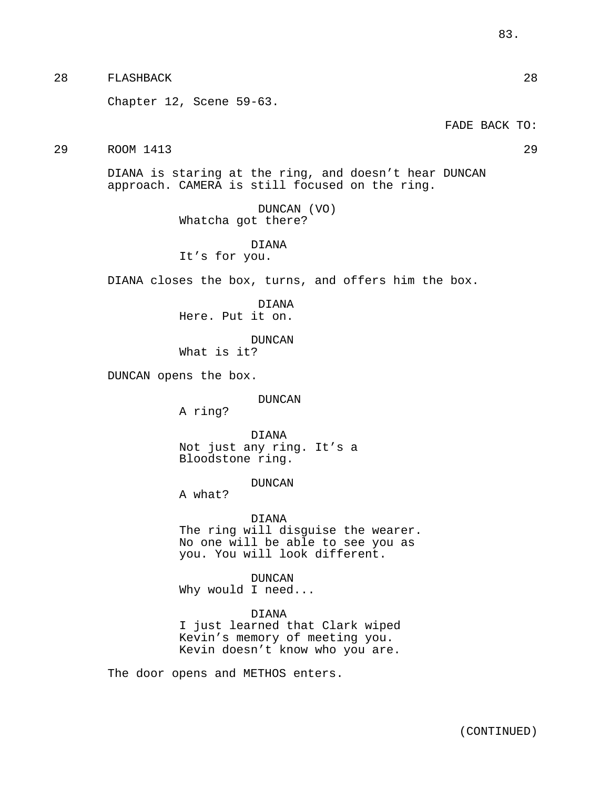28 FLASHBACK 28 Chapter 12, Scene 59-63. FADE BACK TO: 29 ROOM 1413 29 DIANA is staring at the ring, and doesn't hear DUNCAN approach. CAMERA is still focused on the ring. DUNCAN (VO) Whatcha got there? DIANA It's for you. DIANA closes the box, turns, and offers him the box. DIANA Here. Put it on. DUNCAN What is it? DUNCAN opens the box. DUNCAN A ring? DIANA Not just any ring. It's a Bloodstone ring. DUNCAN A what? DIANA The ring will disguise the wearer. No one will be able to see you as you. You will look different. DUNCAN Why would I need... DIANA I just learned that Clark wiped Kevin's memory of meeting you. Kevin doesn't know who you are. The door opens and METHOS enters.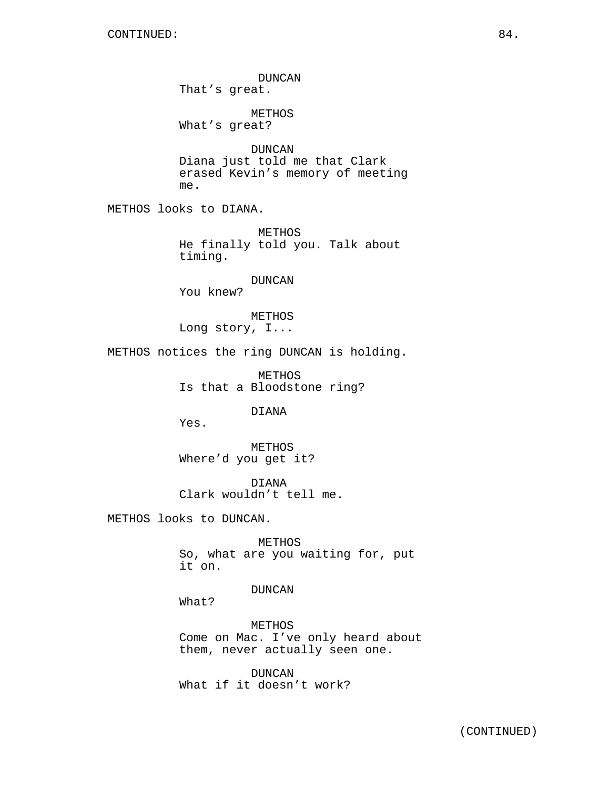DUNCAN That's great. METHOS What's great? DUNCAN Diana just told me that Clark erased Kevin's memory of meeting me. METHOS looks to DIANA. METHOS He finally told you. Talk about timing. DUNCAN You knew? METHOS Long story, I... METHOS notices the ring DUNCAN is holding. METHOS Is that a Bloodstone ring? DIANA Yes. METHOS Where'd you get it? DIANA Clark wouldn't tell me. METHOS looks to DUNCAN. METHOS So, what are you waiting for, put it on. DUNCAN What? METHOS Come on Mac. I've only heard about them, never actually seen one.

> DUNCAN What if it doesn't work?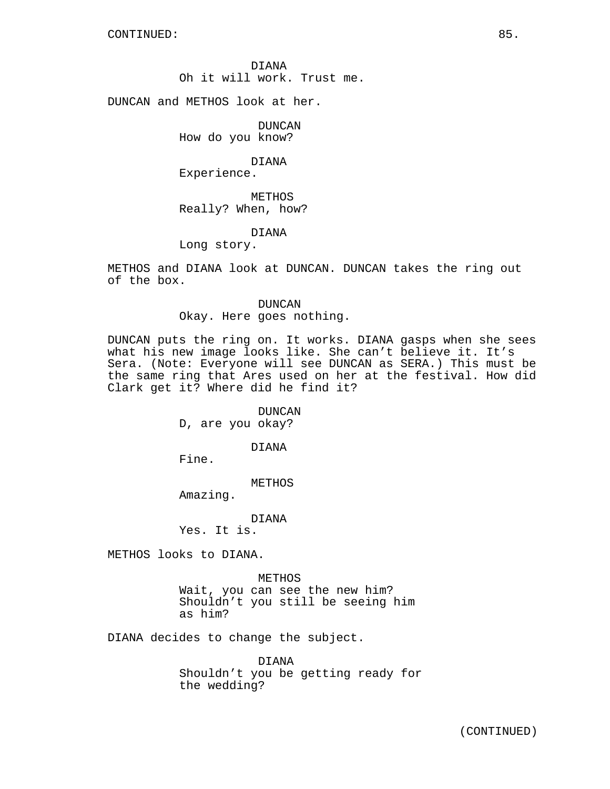DIANA Oh it will work. Trust me.

DUNCAN and METHOS look at her.

DUNCAN How do you know?

DIANA Experience.

METHOS Really? When, how?

DIANA

Long story.

METHOS and DIANA look at DUNCAN. DUNCAN takes the ring out of the box.

> DUNCAN Okay. Here goes nothing.

DUNCAN puts the ring on. It works. DIANA gasps when she sees what his new image looks like. She can't believe it. It's Sera. (Note: Everyone will see DUNCAN as SERA.) This must be the same ring that Ares used on her at the festival. How did Clark get it? Where did he find it?

> DUNCAN D, are you okay?

> > DIANA

Fine.

METHOS

Amazing.

DIANA

Yes. It is.

METHOS looks to DIANA.

METHOS Wait, you can see the new him? Shouldn't you still be seeing him as him?

DIANA decides to change the subject.

DIANA Shouldn't you be getting ready for the wedding?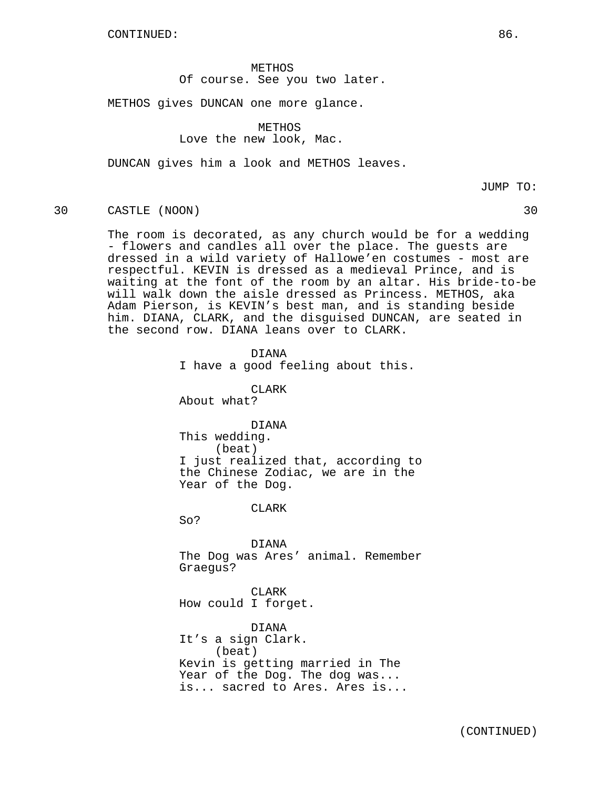CONTINUED: 86.

METHOS Of course. See you two later.

METHOS gives DUNCAN one more glance.

METHOS Love the new look, Mac.

DUNCAN gives him a look and METHOS leaves.

JUMP TO:

## 30 CASTLE (NOON) 30

The room is decorated, as any church would be for a wedding - flowers and candles all over the place. The guests are dressed in a wild variety of Hallowe'en costumes - most are respectful. KEVIN is dressed as a medieval Prince, and is waiting at the font of the room by an altar. His bride-to-be will walk down the aisle dressed as Princess. METHOS, aka Adam Pierson, is KEVIN's best man, and is standing beside him. DIANA, CLARK, and the disguised DUNCAN, are seated in the second row. DIANA leans over to CLARK.

> DIANA I have a good feeling about this. CLARK About what? DIANA This wedding. (beat) I just realized that, according to the Chinese Zodiac, we are in the Year of the Dog. CLARK So? DIANA The Dog was Ares' animal. Remember Graegus? CLARK How could I forget. DIANA It's a sign Clark. (beat) Kevin is getting married in The

Year of the Dog. The dog was... is... sacred to Ares. Ares is...

(CONTINUED)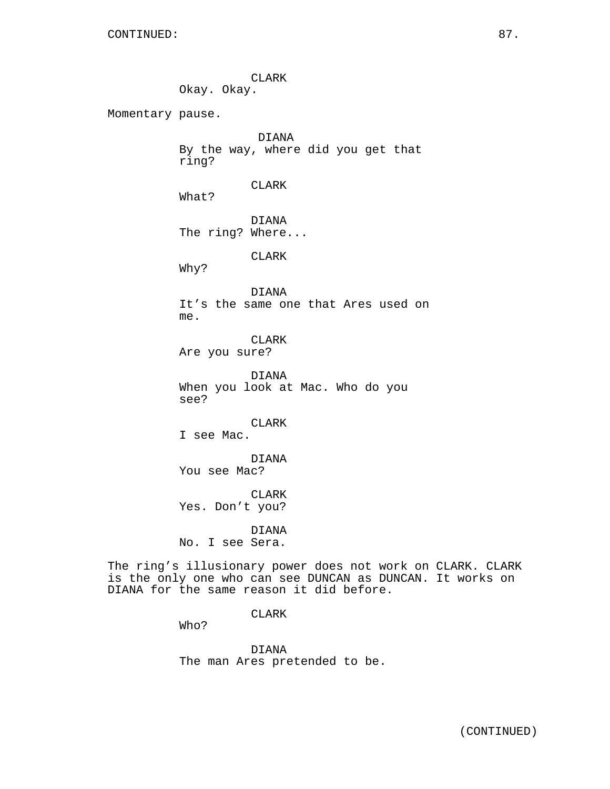CLARK Okay. Okay. Momentary pause. DIANA By the way, where did you get that ring? CLARK What? DIANA The ring? Where... CLARK Why? DIANA It's the same one that Ares used on me. CLARK Are you sure? DIANA When you look at Mac. Who do you see? CLARK I see Mac. DIANA You see Mac? CLARK Yes. Don't you? DIANA No. I see Sera. The ring's illusionary power does not work on CLARK. CLARK is the only one who can see DUNCAN as DUNCAN. It works on DIANA for the same reason it did before.

CLARK

Who?

DIANA The man Ares pretended to be.